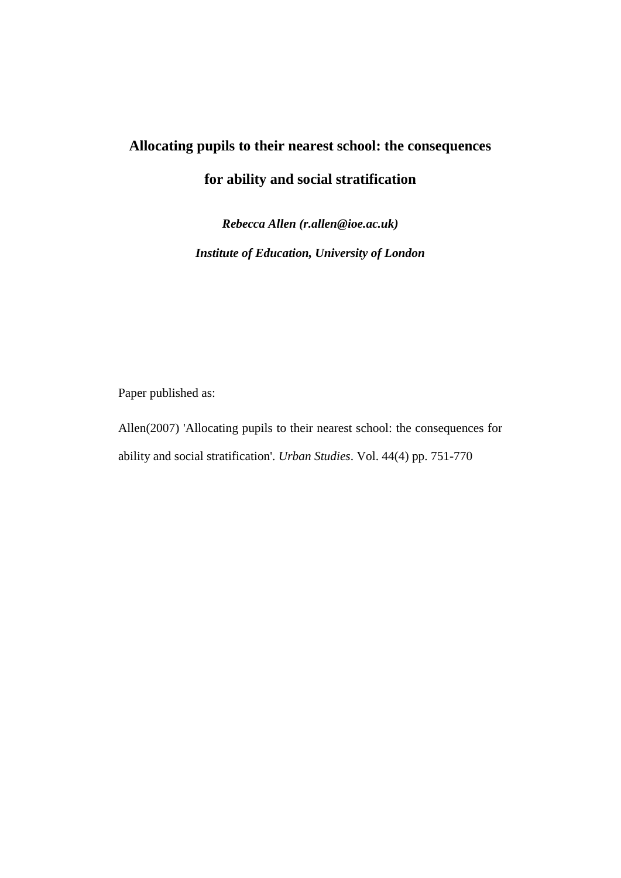# **Allocating pupils to their nearest school: the consequences for ability and social stratification**

*Rebecca Allen (r.allen@ioe.ac.uk) Institute of Education, University of London*

Paper published as:

Allen(2007) 'Allocating pupils to their nearest school: the consequences for ability and social stratification'. *Urban Studies*. Vol. 44(4) pp. 751-770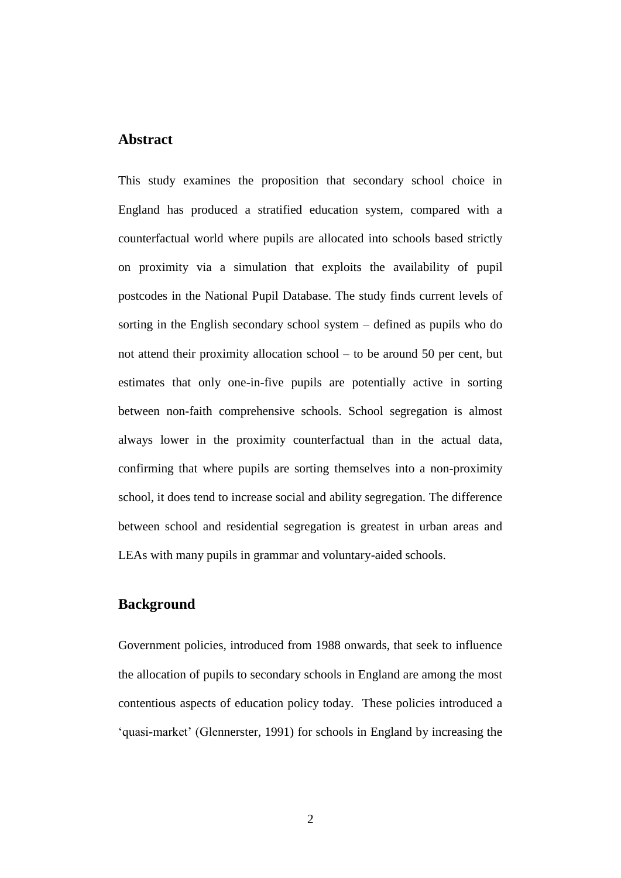## **Abstract**

This study examines the proposition that secondary school choice in England has produced a stratified education system, compared with a counterfactual world where pupils are allocated into schools based strictly on proximity via a simulation that exploits the availability of pupil postcodes in the National Pupil Database. The study finds current levels of sorting in the English secondary school system – defined as pupils who do not attend their proximity allocation school – to be around 50 per cent, but estimates that only one-in-five pupils are potentially active in sorting between non-faith comprehensive schools. School segregation is almost always lower in the proximity counterfactual than in the actual data, confirming that where pupils are sorting themselves into a non-proximity school, it does tend to increase social and ability segregation. The difference between school and residential segregation is greatest in urban areas and LEAs with many pupils in grammar and voluntary-aided schools.

# **Background**

Government policies, introduced from 1988 onwards, that seek to influence the allocation of pupils to secondary schools in England are among the most contentious aspects of education policy today. These policies introduced a 'quasi-market' (Glennerster, 1991) for schools in England by increasing the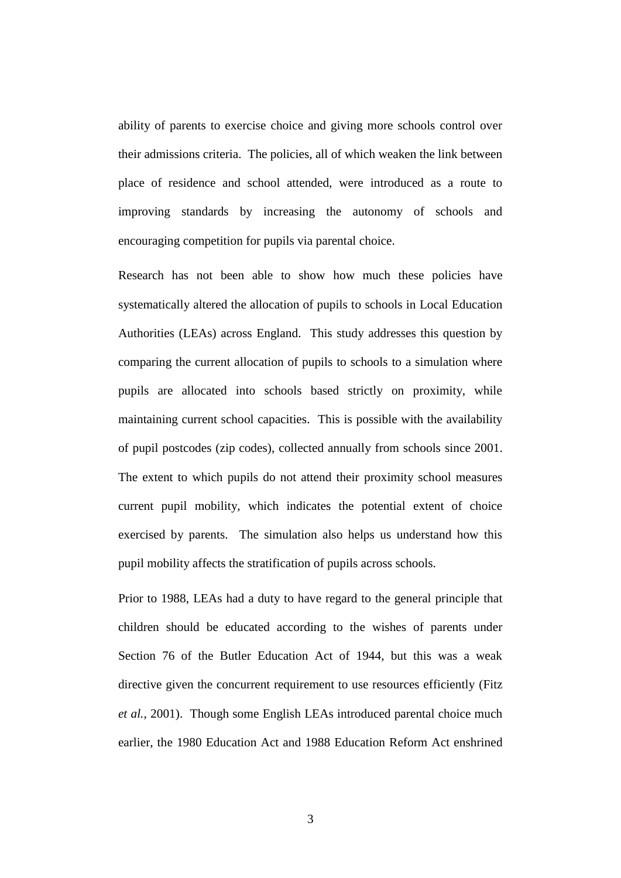ability of parents to exercise choice and giving more schools control over their admissions criteria. The policies, all of which weaken the link between place of residence and school attended, were introduced as a route to improving standards by increasing the autonomy of schools and encouraging competition for pupils via parental choice.

Research has not been able to show how much these policies have systematically altered the allocation of pupils to schools in Local Education Authorities (LEAs) across England. This study addresses this question by comparing the current allocation of pupils to schools to a simulation where pupils are allocated into schools based strictly on proximity, while maintaining current school capacities. This is possible with the availability of pupil postcodes (zip codes), collected annually from schools since 2001. The extent to which pupils do not attend their proximity school measures current pupil mobility, which indicates the potential extent of choice exercised by parents. The simulation also helps us understand how this pupil mobility affects the stratification of pupils across schools.

Prior to 1988, LEAs had a duty to have regard to the general principle that children should be educated according to the wishes of parents under Section 76 of the Butler Education Act of 1944, but this was a weak directive given the concurrent requirement to use resources efficiently (Fitz *et al.*, 2001). Though some English LEAs introduced parental choice much earlier, the 1980 Education Act and 1988 Education Reform Act enshrined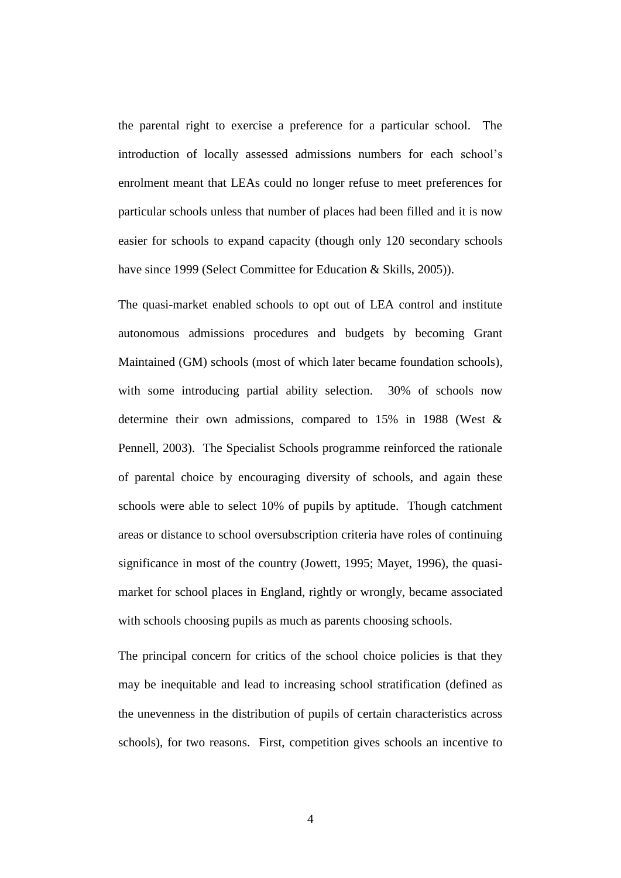the parental right to exercise a preference for a particular school. The introduction of locally assessed admissions numbers for each school's enrolment meant that LEAs could no longer refuse to meet preferences for particular schools unless that number of places had been filled and it is now easier for schools to expand capacity (though only 120 secondary schools have since 1999 (Select Committee for Education & Skills, 2005)).

The quasi-market enabled schools to opt out of LEA control and institute autonomous admissions procedures and budgets by becoming Grant Maintained (GM) schools (most of which later became foundation schools), with some introducing partial ability selection. 30% of schools now determine their own admissions, compared to 15% in 1988 (West & Pennell, 2003). The Specialist Schools programme reinforced the rationale of parental choice by encouraging diversity of schools, and again these schools were able to select 10% of pupils by aptitude. Though catchment areas or distance to school oversubscription criteria have roles of continuing significance in most of the country (Jowett, 1995; Mayet, 1996), the quasimarket for school places in England, rightly or wrongly, became associated with schools choosing pupils as much as parents choosing schools.

The principal concern for critics of the school choice policies is that they may be inequitable and lead to increasing school stratification (defined as the unevenness in the distribution of pupils of certain characteristics across schools), for two reasons. First, competition gives schools an incentive to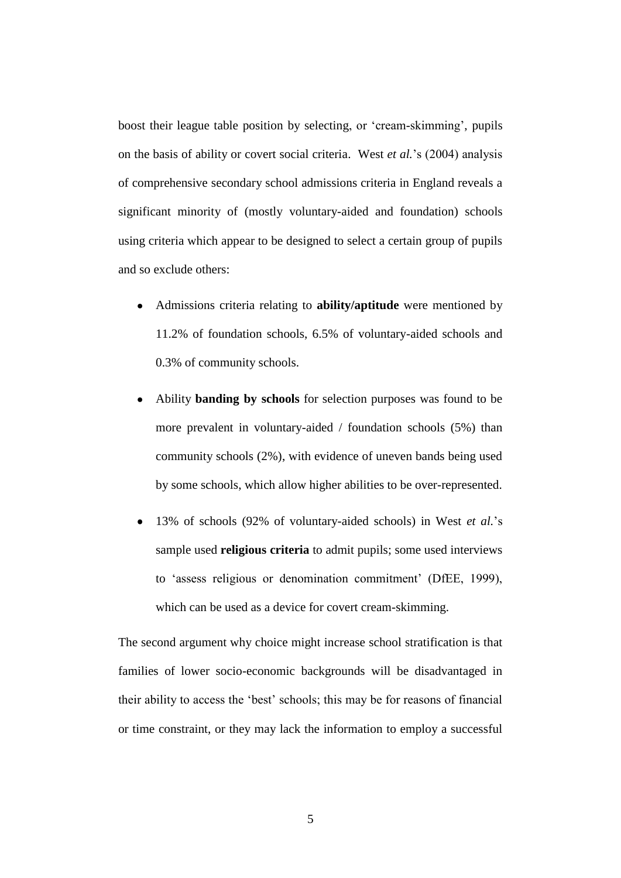boost their league table position by selecting, or 'cream-skimming', pupils on the basis of ability or covert social criteria. West *et al.*'s (2004) analysis of comprehensive secondary school admissions criteria in England reveals a significant minority of (mostly voluntary-aided and foundation) schools using criteria which appear to be designed to select a certain group of pupils and so exclude others:

- Admissions criteria relating to **ability/aptitude** were mentioned by 11.2% of foundation schools, 6.5% of voluntary-aided schools and 0.3% of community schools.
- Ability **banding by schools** for selection purposes was found to be more prevalent in voluntary-aided / foundation schools (5%) than community schools (2%), with evidence of uneven bands being used by some schools, which allow higher abilities to be over-represented.
- 13% of schools (92% of voluntary-aided schools) in West *et al.*'s sample used **religious criteria** to admit pupils; some used interviews to 'assess religious or denomination commitment' (DfEE, 1999), which can be used as a device for covert cream-skimming.

The second argument why choice might increase school stratification is that families of lower socio-economic backgrounds will be disadvantaged in their ability to access the 'best' schools; this may be for reasons of financial or time constraint, or they may lack the information to employ a successful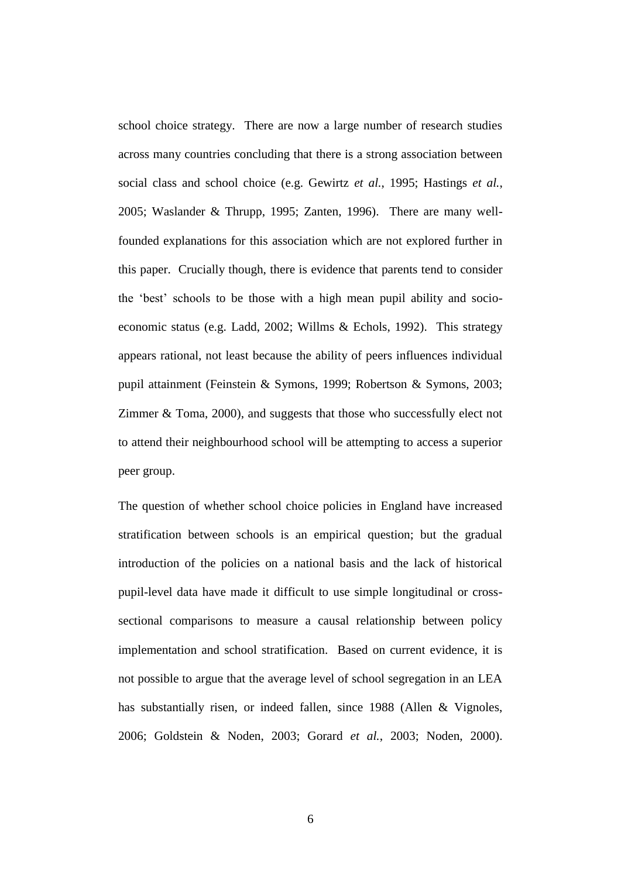school choice strategy. There are now a large number of research studies across many countries concluding that there is a strong association between social class and school choice (e.g. Gewirtz *et al.*, 1995; Hastings *et al.*, 2005; Waslander & Thrupp, 1995; Zanten, 1996). There are many wellfounded explanations for this association which are not explored further in this paper. Crucially though, there is evidence that parents tend to consider the 'best' schools to be those with a high mean pupil ability and socioeconomic status (e.g. Ladd, 2002; Willms & Echols, 1992). This strategy appears rational, not least because the ability of peers influences individual pupil attainment (Feinstein & Symons, 1999; Robertson & Symons, 2003; Zimmer & Toma, 2000), and suggests that those who successfully elect not to attend their neighbourhood school will be attempting to access a superior peer group.

The question of whether school choice policies in England have increased stratification between schools is an empirical question; but the gradual introduction of the policies on a national basis and the lack of historical pupil-level data have made it difficult to use simple longitudinal or crosssectional comparisons to measure a causal relationship between policy implementation and school stratification. Based on current evidence, it is not possible to argue that the average level of school segregation in an LEA has substantially risen, or indeed fallen, since 1988 (Allen & Vignoles, 2006; Goldstein & Noden, 2003; Gorard *et al.*, 2003; Noden, 2000).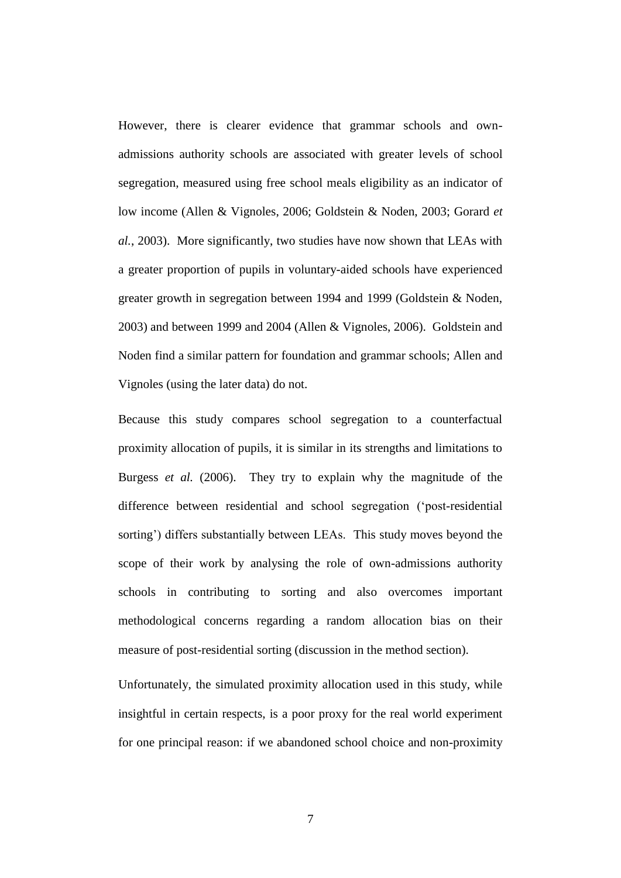However, there is clearer evidence that grammar schools and ownadmissions authority schools are associated with greater levels of school segregation, measured using free school meals eligibility as an indicator of low income (Allen & Vignoles, 2006; Goldstein & Noden, 2003; Gorard *et al.*, 2003). More significantly, two studies have now shown that LEAs with a greater proportion of pupils in voluntary-aided schools have experienced greater growth in segregation between 1994 and 1999 (Goldstein & Noden, 2003) and between 1999 and 2004 (Allen & Vignoles, 2006). Goldstein and Noden find a similar pattern for foundation and grammar schools; Allen and Vignoles (using the later data) do not.

Because this study compares school segregation to a counterfactual proximity allocation of pupils, it is similar in its strengths and limitations to Burgess *et al.* (2006). They try to explain why the magnitude of the difference between residential and school segregation ('post-residential sorting') differs substantially between LEAs. This study moves beyond the scope of their work by analysing the role of own-admissions authority schools in contributing to sorting and also overcomes important methodological concerns regarding a random allocation bias on their measure of post-residential sorting (discussion in the method section).

Unfortunately, the simulated proximity allocation used in this study, while insightful in certain respects, is a poor proxy for the real world experiment for one principal reason: if we abandoned school choice and non-proximity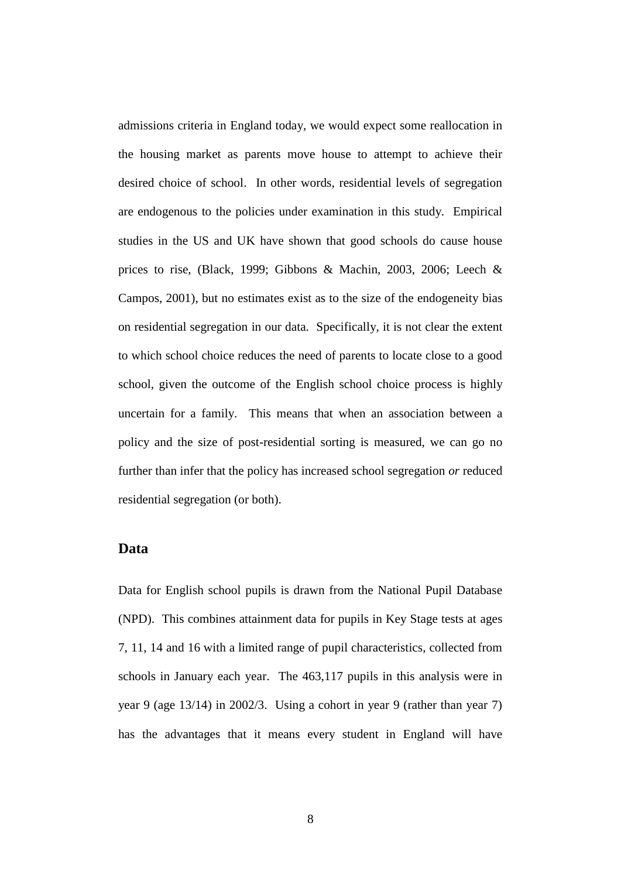admissions criteria in England today, we would expect some reallocation in the housing market as parents move house to attempt to achieve their desired choice of school. In other words, residential levels of segregation are endogenous to the policies under examination in this study. Empirical studies in the US and UK have shown that good schools do cause house prices to rise, (Black, 1999; Gibbons & Machin, 2003, 2006; Leech & Campos, 2001), but no estimates exist as to the size of the endogeneity bias on residential segregation in our data. Specifically, it is not clear the extent to which school choice reduces the need of parents to locate close to a good school, given the outcome of the English school choice process is highly uncertain for a family. This means that when an association between a policy and the size of post-residential sorting is measured, we can go no further than infer that the policy has increased school segregation *or* reduced residential segregation (or both).

## **Data**

Data for English school pupils is drawn from the National Pupil Database (NPD). This combines attainment data for pupils in Key Stage tests at ages 7, 11, 14 and 16 with a limited range of pupil characteristics, collected from schools in January each year. The 463,117 pupils in this analysis were in year 9 (age 13/14) in 2002/3. Using a cohort in year 9 (rather than year 7) has the advantages that it means every student in England will have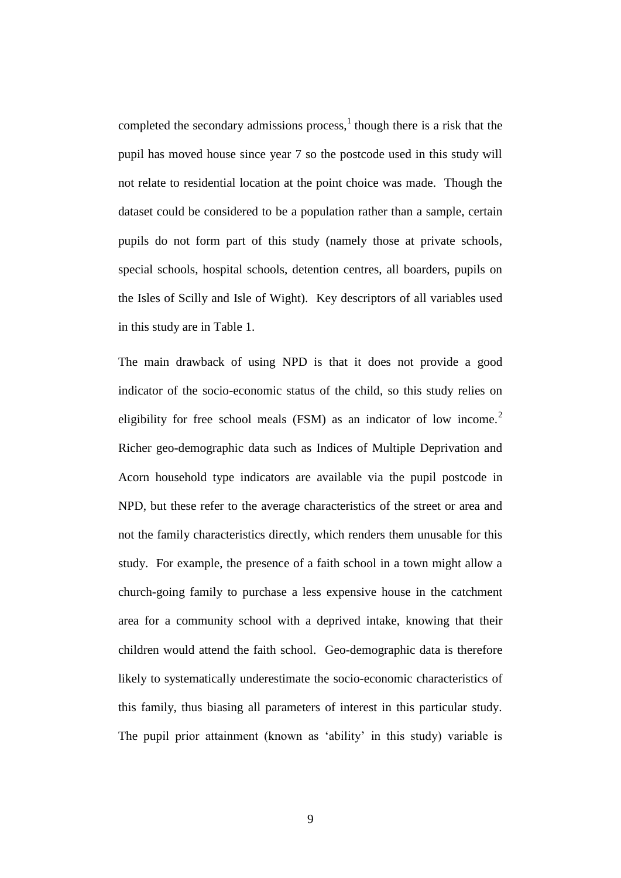completed the secondary admissions process, $<sup>1</sup>$  though there is a risk that the</sup> pupil has moved house since year 7 so the postcode used in this study will not relate to residential location at the point choice was made. Though the dataset could be considered to be a population rather than a sample, certain pupils do not form part of this study (namely those at private schools, special schools, hospital schools, detention centres, all boarders, pupils on the Isles of Scilly and Isle of Wight). Key descriptors of all variables used in this study are in Table 1.

The main drawback of using NPD is that it does not provide a good indicator of the socio-economic status of the child, so this study relies on eligibility for free school meals (FSM) as an indicator of low income.<sup>2</sup> Richer geo-demographic data such as Indices of Multiple Deprivation and Acorn household type indicators are available via the pupil postcode in NPD, but these refer to the average characteristics of the street or area and not the family characteristics directly, which renders them unusable for this study. For example, the presence of a faith school in a town might allow a church-going family to purchase a less expensive house in the catchment area for a community school with a deprived intake, knowing that their children would attend the faith school. Geo-demographic data is therefore likely to systematically underestimate the socio-economic characteristics of this family, thus biasing all parameters of interest in this particular study. The pupil prior attainment (known as 'ability' in this study) variable is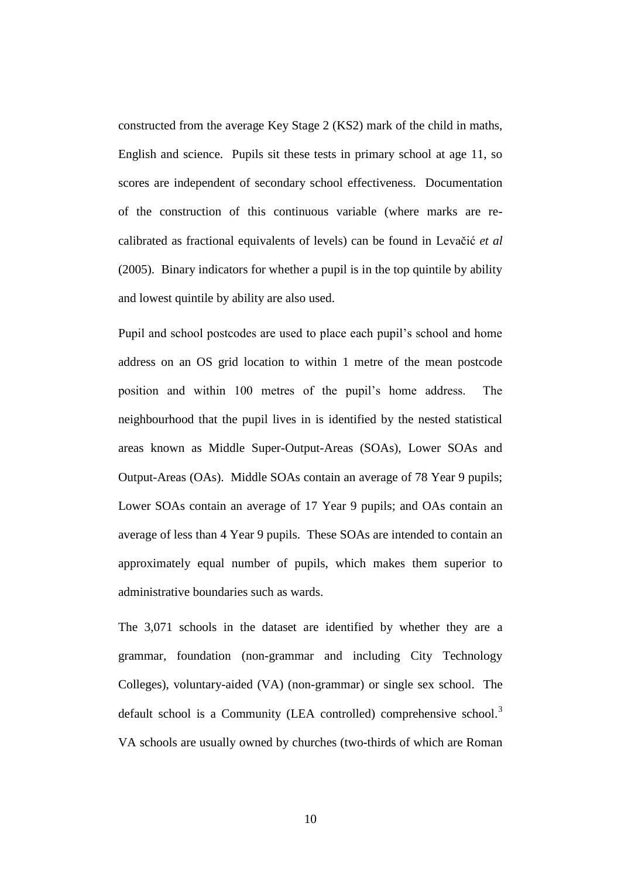constructed from the average Key Stage 2 (KS2) mark of the child in maths, English and science. Pupils sit these tests in primary school at age 11, so scores are independent of secondary school effectiveness. Documentation of the construction of this continuous variable (where marks are recalibrated as fractional equivalents of levels) can be found in Levačić *et al*  (2005). Binary indicators for whether a pupil is in the top quintile by ability and lowest quintile by ability are also used.

Pupil and school postcodes are used to place each pupil's school and home address on an OS grid location to within 1 metre of the mean postcode position and within 100 metres of the pupil's home address. The neighbourhood that the pupil lives in is identified by the nested statistical areas known as Middle Super-Output-Areas (SOAs), Lower SOAs and Output-Areas (OAs). Middle SOAs contain an average of 78 Year 9 pupils; Lower SOAs contain an average of 17 Year 9 pupils; and OAs contain an average of less than 4 Year 9 pupils. These SOAs are intended to contain an approximately equal number of pupils, which makes them superior to administrative boundaries such as wards.

The 3,071 schools in the dataset are identified by whether they are a grammar, foundation (non-grammar and including City Technology Colleges), voluntary-aided (VA) (non-grammar) or single sex school. The default school is a Community (LEA controlled) comprehensive school.<sup>3</sup> VA schools are usually owned by churches (two-thirds of which are Roman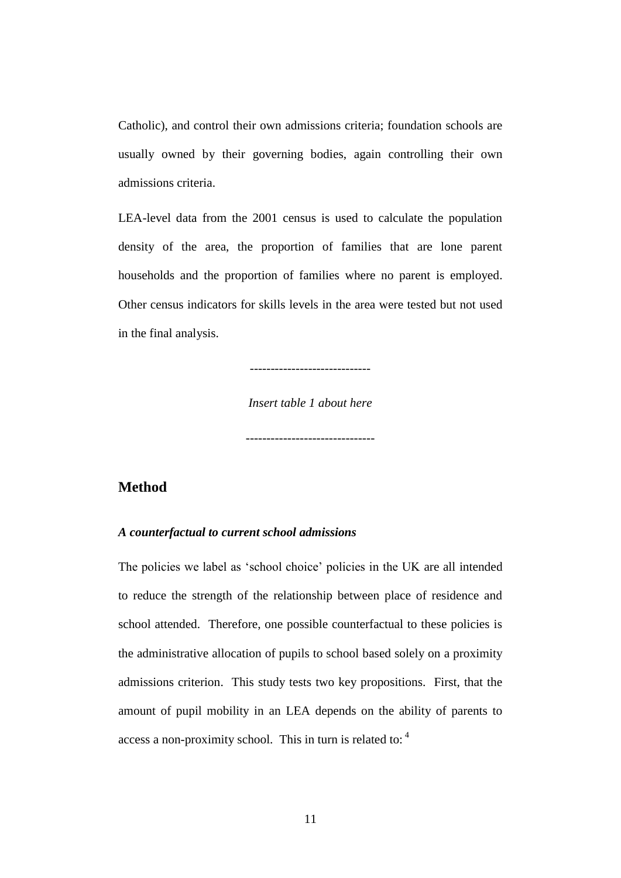Catholic), and control their own admissions criteria; foundation schools are usually owned by their governing bodies, again controlling their own admissions criteria.

LEA-level data from the 2001 census is used to calculate the population density of the area, the proportion of families that are lone parent households and the proportion of families where no parent is employed. Other census indicators for skills levels in the area were tested but not used in the final analysis.

-----------------------------

*Insert table 1 about here*

-------------------------------

# **Method**

#### *A counterfactual to current school admissions*

The policies we label as 'school choice' policies in the UK are all intended to reduce the strength of the relationship between place of residence and school attended. Therefore, one possible counterfactual to these policies is the administrative allocation of pupils to school based solely on a proximity admissions criterion. This study tests two key propositions. First, that the amount of pupil mobility in an LEA depends on the ability of parents to access a non-proximity school. This in turn is related to: <sup>4</sup>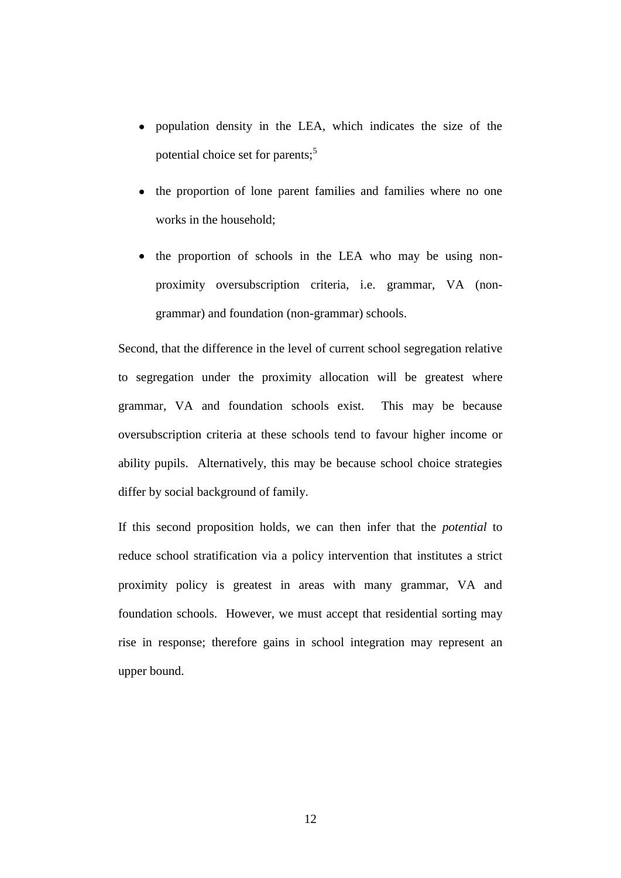- population density in the LEA, which indicates the size of the potential choice set for parents;<sup>5</sup>
- the proportion of lone parent families and families where no one works in the household;
- the proportion of schools in the LEA who may be using nonproximity oversubscription criteria, i.e. grammar, VA (nongrammar) and foundation (non-grammar) schools.

Second, that the difference in the level of current school segregation relative to segregation under the proximity allocation will be greatest where grammar, VA and foundation schools exist. This may be because oversubscription criteria at these schools tend to favour higher income or ability pupils. Alternatively, this may be because school choice strategies differ by social background of family.

If this second proposition holds, we can then infer that the *potential* to reduce school stratification via a policy intervention that institutes a strict proximity policy is greatest in areas with many grammar, VA and foundation schools. However, we must accept that residential sorting may rise in response; therefore gains in school integration may represent an upper bound.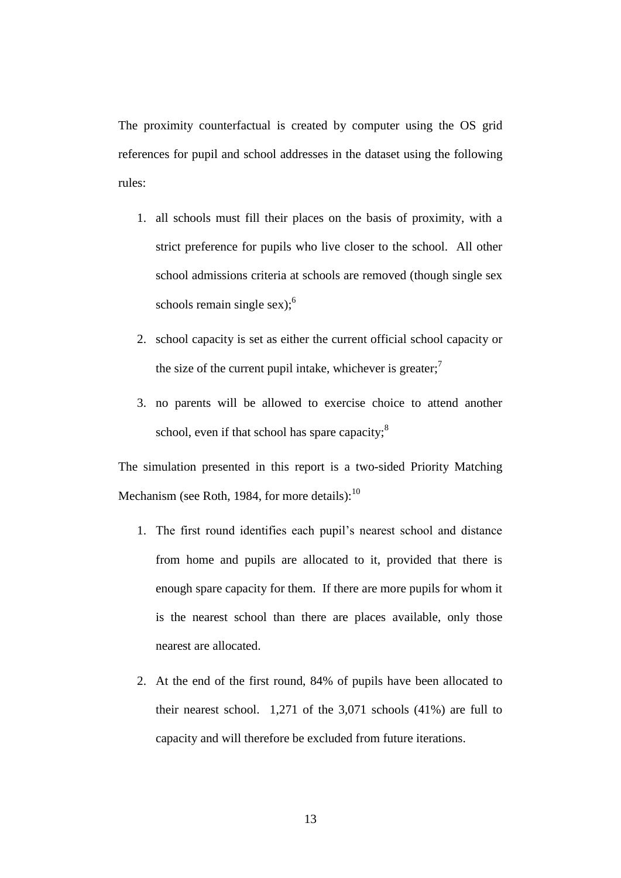The proximity counterfactual is created by computer using the OS grid references for pupil and school addresses in the dataset using the following rules:

- 1. all schools must fill their places on the basis of proximity, with a strict preference for pupils who live closer to the school. All other school admissions criteria at schools are removed (though single sex schools remain single sex);  $6<sup>6</sup>$
- 2. school capacity is set as either the current official school capacity or the size of the current pupil intake, whichever is greater;<sup>7</sup>
- 3. no parents will be allowed to exercise choice to attend another school, even if that school has spare capacity;<sup>8</sup>

The simulation presented in this report is a two-sided Priority Matching Mechanism (see Roth, 1984, for more details): $^{10}$ 

- 1. The first round identifies each pupil's nearest school and distance from home and pupils are allocated to it, provided that there is enough spare capacity for them. If there are more pupils for whom it is the nearest school than there are places available, only those nearest are allocated.
- 2. At the end of the first round, 84% of pupils have been allocated to their nearest school. 1,271 of the 3,071 schools (41%) are full to capacity and will therefore be excluded from future iterations.

13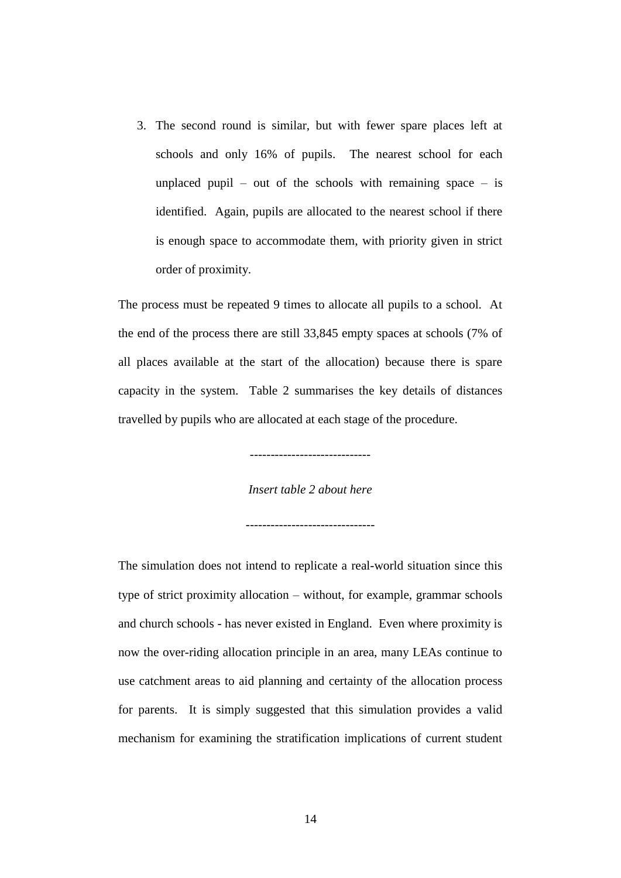3. The second round is similar, but with fewer spare places left at schools and only 16% of pupils. The nearest school for each unplaced pupil – out of the schools with remaining space – is identified. Again, pupils are allocated to the nearest school if there is enough space to accommodate them, with priority given in strict order of proximity.

The process must be repeated 9 times to allocate all pupils to a school. At the end of the process there are still 33,845 empty spaces at schools (7% of all places available at the start of the allocation) because there is spare capacity in the system. Table 2 summarises the key details of distances travelled by pupils who are allocated at each stage of the procedure.

-----------------------------

*Insert table 2 about here*

-------------------------------

The simulation does not intend to replicate a real-world situation since this type of strict proximity allocation – without, for example, grammar schools and church schools - has never existed in England. Even where proximity is now the over-riding allocation principle in an area, many LEAs continue to use catchment areas to aid planning and certainty of the allocation process for parents. It is simply suggested that this simulation provides a valid mechanism for examining the stratification implications of current student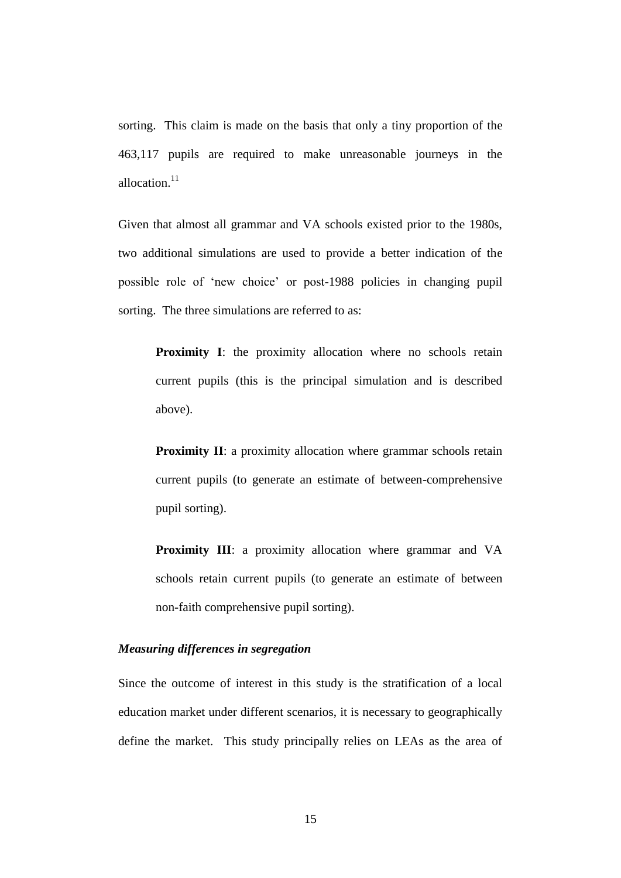sorting. This claim is made on the basis that only a tiny proportion of the 463,117 pupils are required to make unreasonable journeys in the allocation.<sup>11</sup>

Given that almost all grammar and VA schools existed prior to the 1980s, two additional simulations are used to provide a better indication of the possible role of 'new choice' or post-1988 policies in changing pupil sorting. The three simulations are referred to as:

**Proximity I**: the proximity allocation where no schools retain current pupils (this is the principal simulation and is described above).

**Proximity II**: a proximity allocation where grammar schools retain current pupils (to generate an estimate of between-comprehensive pupil sorting).

**Proximity III**: a proximity allocation where grammar and VA schools retain current pupils (to generate an estimate of between non-faith comprehensive pupil sorting).

## *Measuring differences in segregation*

Since the outcome of interest in this study is the stratification of a local education market under different scenarios, it is necessary to geographically define the market. This study principally relies on LEAs as the area of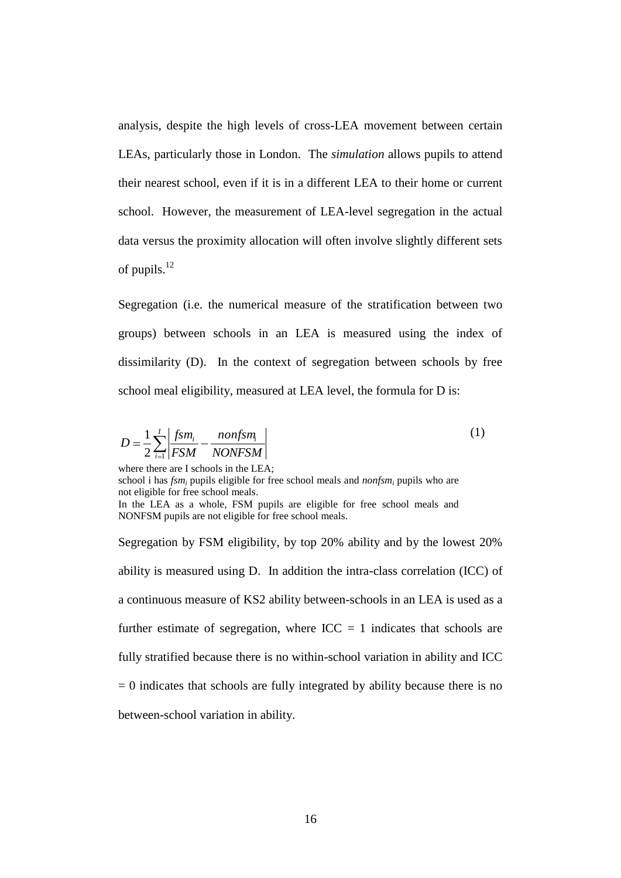analysis, despite the high levels of cross-LEA movement between certain LEAs, particularly those in London. The *simulation* allows pupils to attend their nearest school, even if it is in a different LEA to their home or current school. However, the measurement of LEA-level segregation in the actual data versus the proximity allocation will often involve slightly different sets of pupils.<sup>12</sup>

Segregation (i.e. the numerical measure of the stratification between two groups) between schools in an LEA is measured using the index of dissimilarity (D). In the context of segregation between schools by free school meal eligibility, measured at LEA level, the formula for D is:

$$
D = \frac{1}{2} \sum_{i=1}^{I} \left| \frac{fsm_i}{FSM} - \frac{nonfsm_i}{NONFSM} \right|
$$
 (1)

where there are I schools in the LEA; school i has *fsm<sup>i</sup>* pupils eligible for free school meals and *nonfsm<sup>i</sup>* pupils who are not eligible for free school meals. In the LEA as a whole, FSM pupils are eligible for free school meals and NONFSM pupils are not eligible for free school meals.

Segregation by FSM eligibility, by top 20% ability and by the lowest 20% ability is measured using D. In addition the intra-class correlation (ICC) of a continuous measure of KS2 ability between-schools in an LEA is used as a further estimate of segregation, where  $ICC = 1$  indicates that schools are fully stratified because there is no within-school variation in ability and ICC  $= 0$  indicates that schools are fully integrated by ability because there is no between-school variation in ability.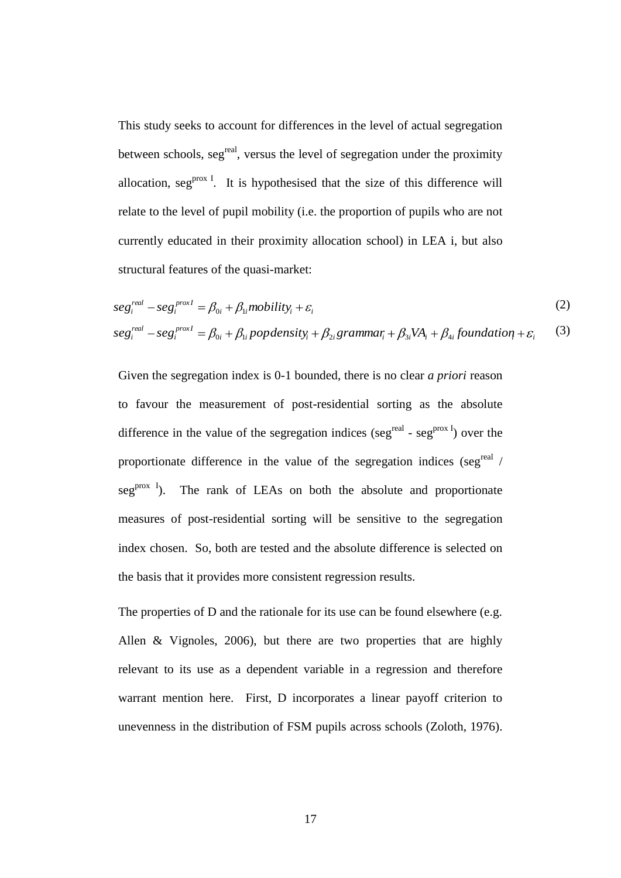This study seeks to account for differences in the level of actual segregation between schools, seg<sup>real</sup>, versus the level of segregation under the proximity allocation,  $seg<sup>prox I</sup>$ . It is hypothesised that the size of this difference will relate to the level of pupil mobility (i.e. the proportion of pupils who are not currently educated in their proximity allocation school) in LEA i, but also structural features of the quasi-market:

$$
seg_i^{real} - seg_i^{proxI} = \beta_{0i} + \beta_{1i} mobility_i + \varepsilon_i
$$
\n
$$
seg_i^{real} - seg_i^{proxI} = \beta_{0i} + \beta_{1i} populationity_i + \beta_{2i} grammar_i + \beta_{3i} VA_i + \beta_{4i} foundation_i + \varepsilon_i
$$
\n(2)

Given the segregation index is 0-1 bounded, there is no clear *a priori* reason to favour the measurement of post-residential sorting as the absolute difference in the value of the segregation indices (seg<sup>real</sup> - seg<sup>prox I</sup>) over the proportionate difference in the value of the segregation indices (seg<sup>real</sup> /  $seg<sup>prox I</sup>$ ). The rank of LEAs on both the absolute and proportionate measures of post-residential sorting will be sensitive to the segregation index chosen. So, both are tested and the absolute difference is selected on the basis that it provides more consistent regression results.

The properties of D and the rationale for its use can be found elsewhere (e.g. Allen & Vignoles, 2006), but there are two properties that are highly relevant to its use as a dependent variable in a regression and therefore warrant mention here. First, D incorporates a linear payoff criterion to unevenness in the distribution of FSM pupils across schools (Zoloth, 1976).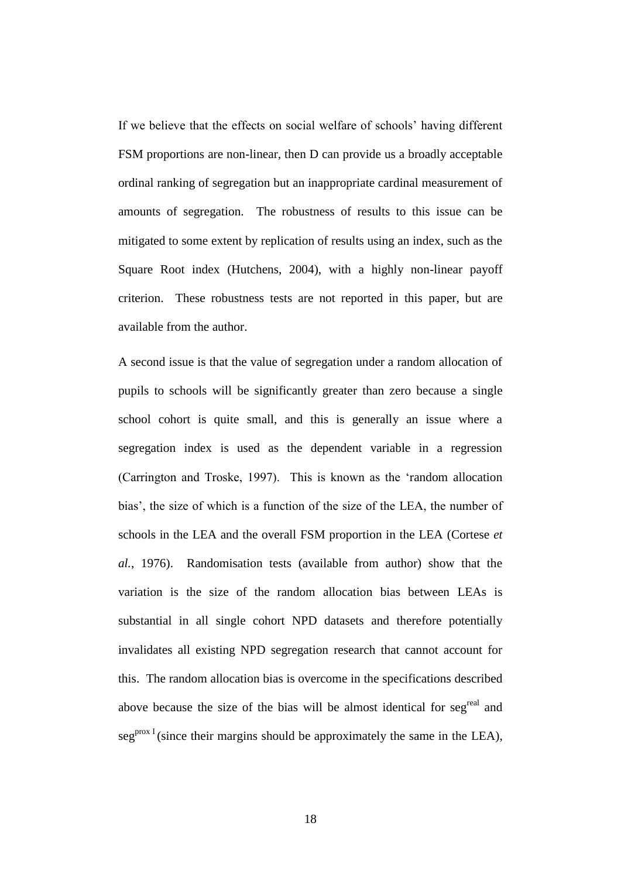If we believe that the effects on social welfare of schools' having different FSM proportions are non-linear, then D can provide us a broadly acceptable ordinal ranking of segregation but an inappropriate cardinal measurement of amounts of segregation. The robustness of results to this issue can be mitigated to some extent by replication of results using an index, such as the Square Root index (Hutchens, 2004), with a highly non-linear payoff criterion. These robustness tests are not reported in this paper, but are available from the author.

A second issue is that the value of segregation under a random allocation of pupils to schools will be significantly greater than zero because a single school cohort is quite small, and this is generally an issue where a segregation index is used as the dependent variable in a regression (Carrington and Troske, 1997). This is known as the 'random allocation bias', the size of which is a function of the size of the LEA, the number of schools in the LEA and the overall FSM proportion in the LEA (Cortese *et al.*, 1976). Randomisation tests (available from author) show that the variation is the size of the random allocation bias between LEAs is substantial in all single cohort NPD datasets and therefore potentially invalidates all existing NPD segregation research that cannot account for this. The random allocation bias is overcome in the specifications described above because the size of the bias will be almost identical for seg<sup>real</sup> and  $seg<sup>prox I</sup>$  (since their margins should be approximately the same in the LEA),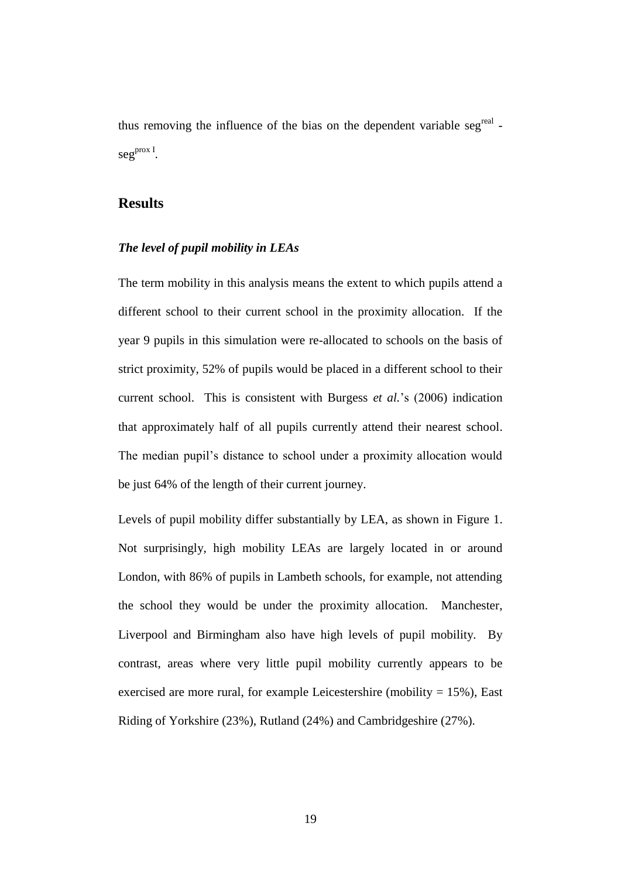thus removing the influence of the bias on the dependent variable seg<sup>real</sup> - $\mathrm{seg}^{\mathrm{prox I}}.$ 

# **Results**

## *The level of pupil mobility in LEAs*

The term mobility in this analysis means the extent to which pupils attend a different school to their current school in the proximity allocation. If the year 9 pupils in this simulation were re-allocated to schools on the basis of strict proximity, 52% of pupils would be placed in a different school to their current school. This is consistent with Burgess *et al.*'s (2006) indication that approximately half of all pupils currently attend their nearest school. The median pupil's distance to school under a proximity allocation would be just 64% of the length of their current journey.

Levels of pupil mobility differ substantially by LEA, as shown in Figure 1. Not surprisingly, high mobility LEAs are largely located in or around London, with 86% of pupils in Lambeth schools, for example, not attending the school they would be under the proximity allocation. Manchester, Liverpool and Birmingham also have high levels of pupil mobility. By contrast, areas where very little pupil mobility currently appears to be exercised are more rural, for example Leicestershire (mobility  $= 15\%$ ), East Riding of Yorkshire (23%), Rutland (24%) and Cambridgeshire (27%).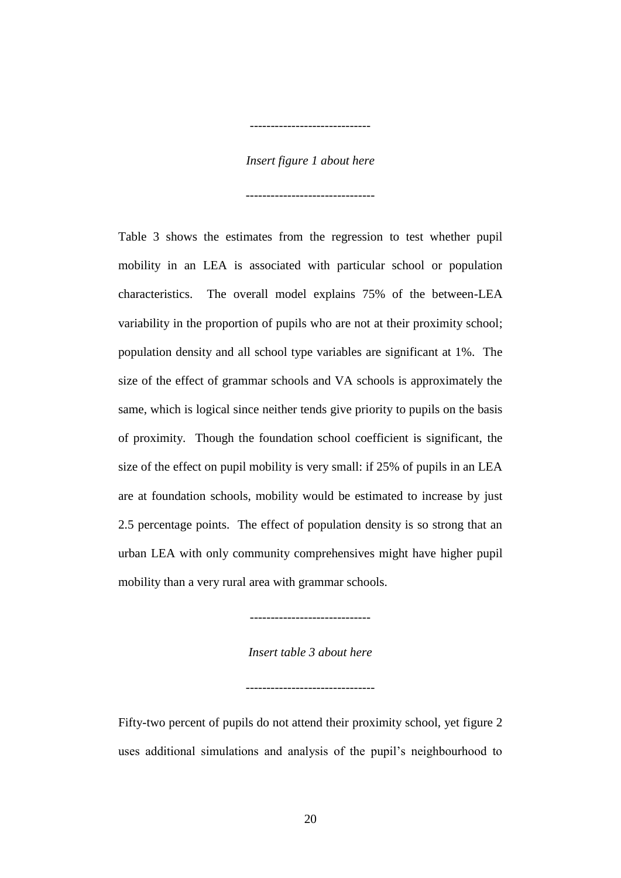#### *Insert figure 1 about here*

-------------------------------

-----------------------------

Table 3 shows the estimates from the regression to test whether pupil mobility in an LEA is associated with particular school or population characteristics. The overall model explains 75% of the between-LEA variability in the proportion of pupils who are not at their proximity school; population density and all school type variables are significant at 1%. The size of the effect of grammar schools and VA schools is approximately the same, which is logical since neither tends give priority to pupils on the basis of proximity. Though the foundation school coefficient is significant, the size of the effect on pupil mobility is very small: if 25% of pupils in an LEA are at foundation schools, mobility would be estimated to increase by just 2.5 percentage points. The effect of population density is so strong that an urban LEA with only community comprehensives might have higher pupil mobility than a very rural area with grammar schools.

-----------------------------

*Insert table 3 about here*

-------------------------------

Fifty-two percent of pupils do not attend their proximity school, yet figure 2 uses additional simulations and analysis of the pupil's neighbourhood to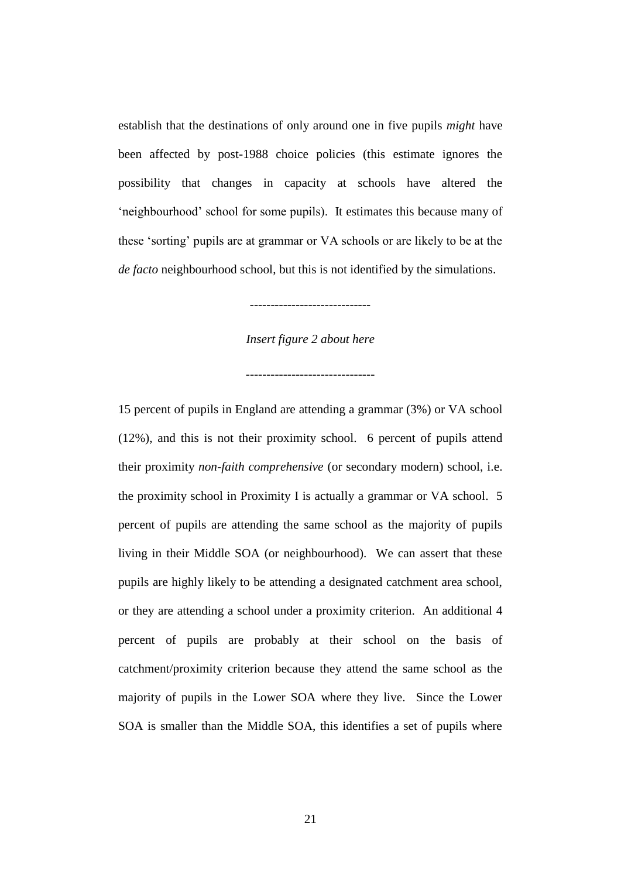establish that the destinations of only around one in five pupils *might* have been affected by post-1988 choice policies (this estimate ignores the possibility that changes in capacity at schools have altered the 'neighbourhood' school for some pupils). It estimates this because many of these 'sorting' pupils are at grammar or VA schools or are likely to be at the *de facto* neighbourhood school, but this is not identified by the simulations.

*Insert figure 2 about here*

-------------------------------

-----------------------------

15 percent of pupils in England are attending a grammar (3%) or VA school (12%), and this is not their proximity school. 6 percent of pupils attend their proximity *non-faith comprehensive* (or secondary modern) school, i.e. the proximity school in Proximity I is actually a grammar or VA school. 5 percent of pupils are attending the same school as the majority of pupils living in their Middle SOA (or neighbourhood). We can assert that these pupils are highly likely to be attending a designated catchment area school, or they are attending a school under a proximity criterion. An additional 4 percent of pupils are probably at their school on the basis of catchment/proximity criterion because they attend the same school as the majority of pupils in the Lower SOA where they live. Since the Lower SOA is smaller than the Middle SOA, this identifies a set of pupils where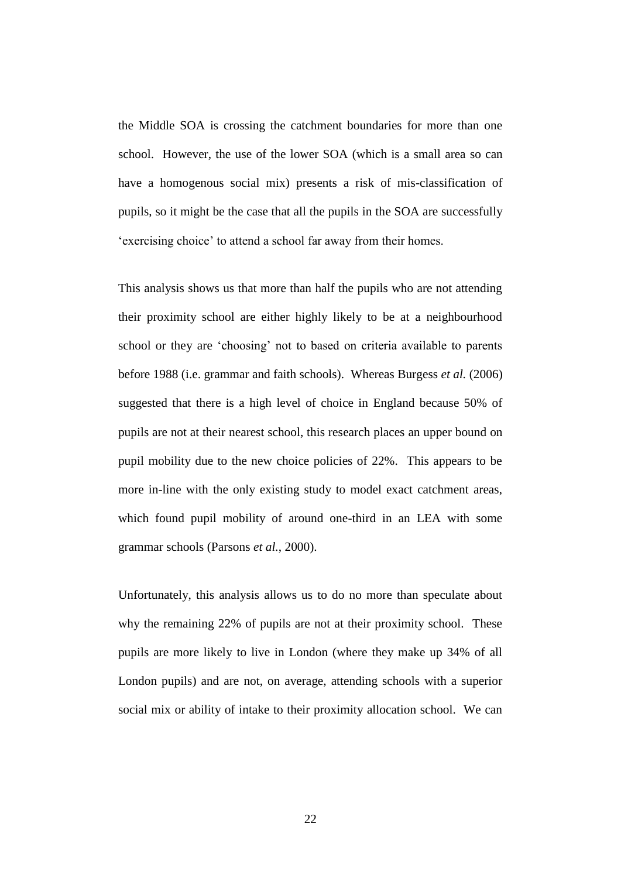the Middle SOA is crossing the catchment boundaries for more than one school. However, the use of the lower SOA (which is a small area so can have a homogenous social mix) presents a risk of mis-classification of pupils, so it might be the case that all the pupils in the SOA are successfully 'exercising choice' to attend a school far away from their homes.

This analysis shows us that more than half the pupils who are not attending their proximity school are either highly likely to be at a neighbourhood school or they are 'choosing' not to based on criteria available to parents before 1988 (i.e. grammar and faith schools). Whereas Burgess *et al.* (2006) suggested that there is a high level of choice in England because 50% of pupils are not at their nearest school, this research places an upper bound on pupil mobility due to the new choice policies of 22%. This appears to be more in-line with the only existing study to model exact catchment areas, which found pupil mobility of around one-third in an LEA with some grammar schools (Parsons *et al.*, 2000).

Unfortunately, this analysis allows us to do no more than speculate about why the remaining 22% of pupils are not at their proximity school. These pupils are more likely to live in London (where they make up 34% of all London pupils) and are not, on average, attending schools with a superior social mix or ability of intake to their proximity allocation school. We can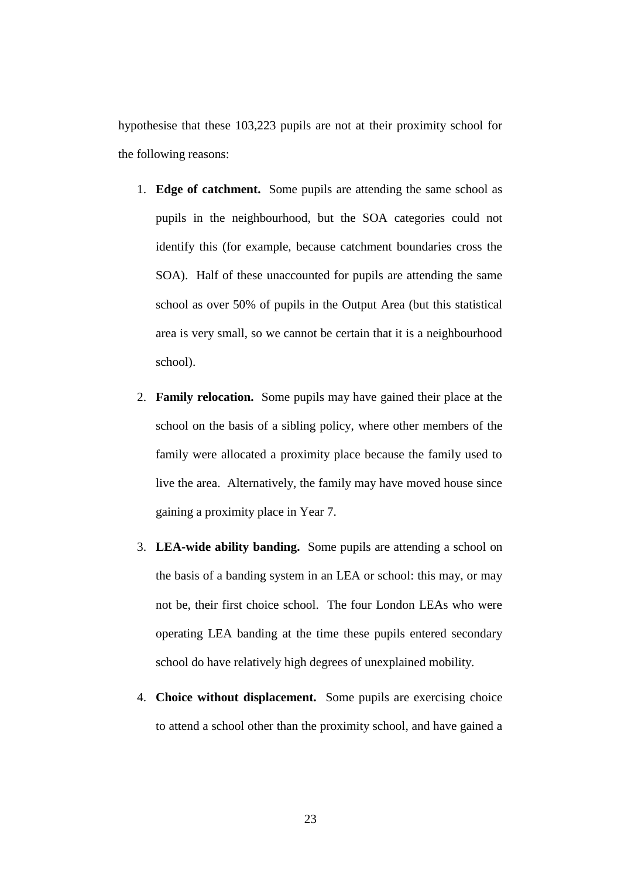hypothesise that these 103,223 pupils are not at their proximity school for the following reasons:

- 1. **Edge of catchment.** Some pupils are attending the same school as pupils in the neighbourhood, but the SOA categories could not identify this (for example, because catchment boundaries cross the SOA). Half of these unaccounted for pupils are attending the same school as over 50% of pupils in the Output Area (but this statistical area is very small, so we cannot be certain that it is a neighbourhood school).
- 2. **Family relocation.** Some pupils may have gained their place at the school on the basis of a sibling policy, where other members of the family were allocated a proximity place because the family used to live the area. Alternatively, the family may have moved house since gaining a proximity place in Year 7.
- 3. **LEA-wide ability banding.** Some pupils are attending a school on the basis of a banding system in an LEA or school: this may, or may not be, their first choice school. The four London LEAs who were operating LEA banding at the time these pupils entered secondary school do have relatively high degrees of unexplained mobility.
- 4. **Choice without displacement.** Some pupils are exercising choice to attend a school other than the proximity school, and have gained a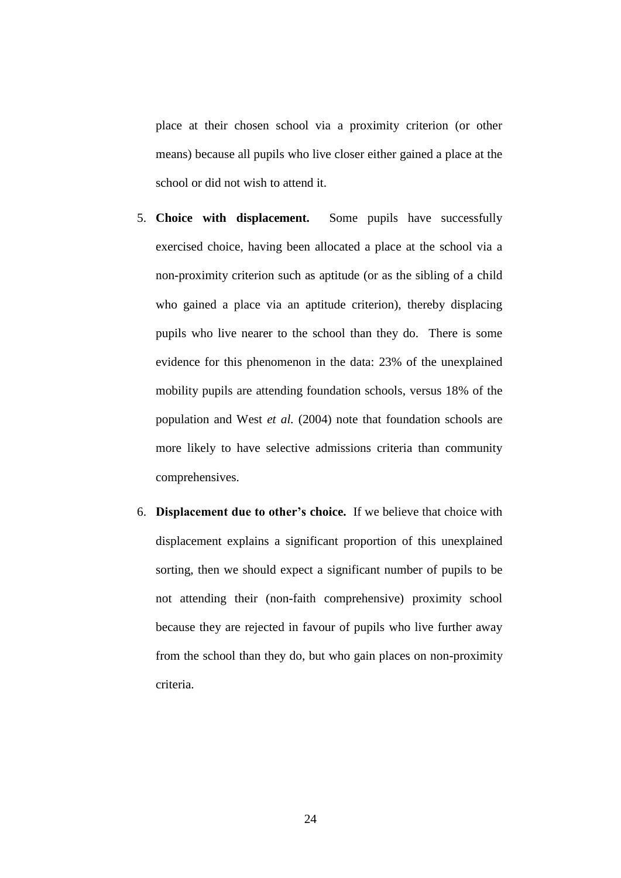place at their chosen school via a proximity criterion (or other means) because all pupils who live closer either gained a place at the school or did not wish to attend it.

- 5. **Choice with displacement.** Some pupils have successfully exercised choice, having been allocated a place at the school via a non-proximity criterion such as aptitude (or as the sibling of a child who gained a place via an aptitude criterion), thereby displacing pupils who live nearer to the school than they do. There is some evidence for this phenomenon in the data: 23% of the unexplained mobility pupils are attending foundation schools, versus 18% of the population and West *et al.* (2004) note that foundation schools are more likely to have selective admissions criteria than community comprehensives.
- 6. **Displacement due to other's choice.** If we believe that choice with displacement explains a significant proportion of this unexplained sorting, then we should expect a significant number of pupils to be not attending their (non-faith comprehensive) proximity school because they are rejected in favour of pupils who live further away from the school than they do, but who gain places on non-proximity criteria.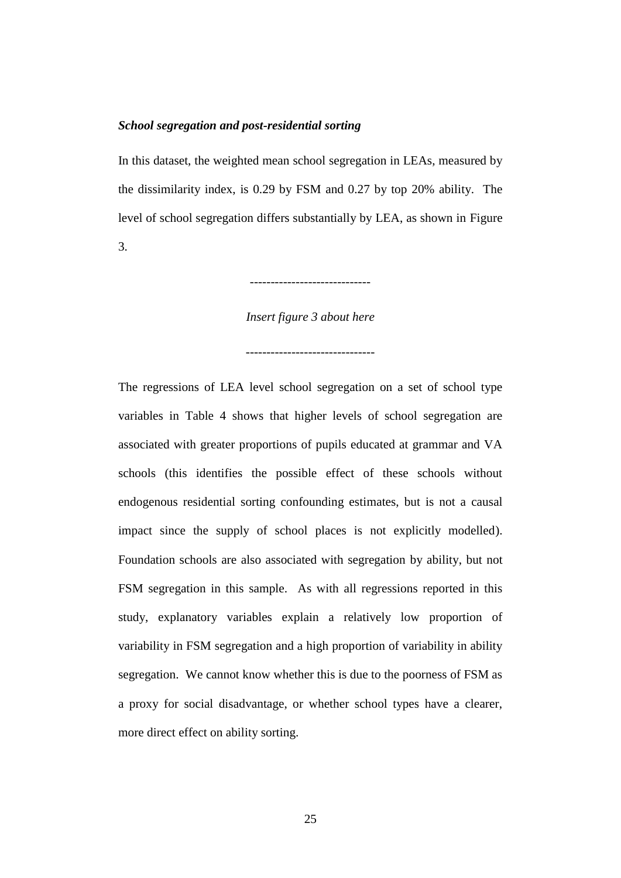#### *School segregation and post-residential sorting*

In this dataset, the weighted mean school segregation in LEAs, measured by the dissimilarity index, is 0.29 by FSM and 0.27 by top 20% ability. The level of school segregation differs substantially by LEA, as shown in Figure 3.

-----------------------------

*Insert figure 3 about here*

-------------------------------

The regressions of LEA level school segregation on a set of school type variables in Table 4 shows that higher levels of school segregation are associated with greater proportions of pupils educated at grammar and VA schools (this identifies the possible effect of these schools without endogenous residential sorting confounding estimates, but is not a causal impact since the supply of school places is not explicitly modelled). Foundation schools are also associated with segregation by ability, but not FSM segregation in this sample. As with all regressions reported in this study, explanatory variables explain a relatively low proportion of variability in FSM segregation and a high proportion of variability in ability segregation. We cannot know whether this is due to the poorness of FSM as a proxy for social disadvantage, or whether school types have a clearer, more direct effect on ability sorting.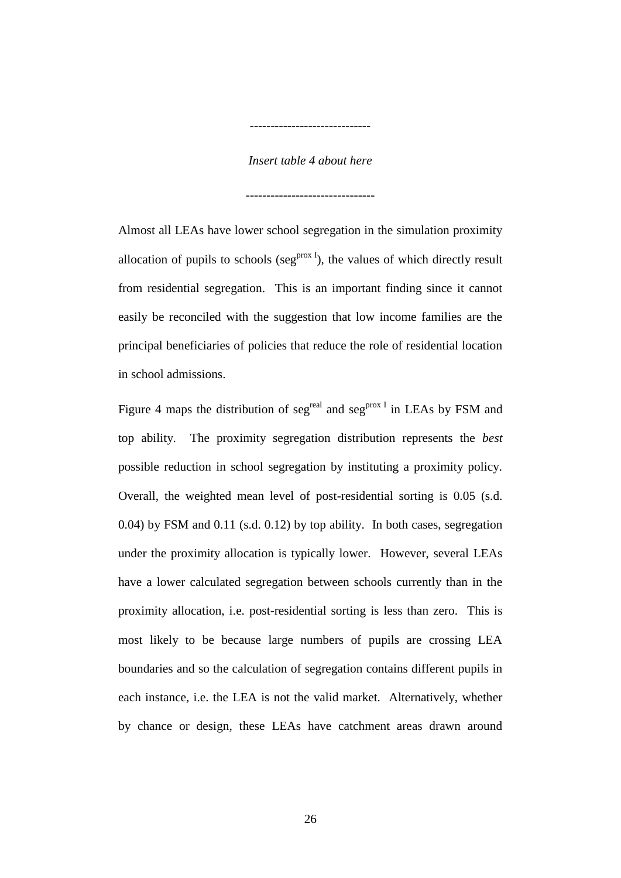#### *Insert table 4 about here*

-------------------------------

-----------------------------

Almost all LEAs have lower school segregation in the simulation proximity allocation of pupils to schools (seg<sup>prox I</sup>), the values of which directly result from residential segregation. This is an important finding since it cannot easily be reconciled with the suggestion that low income families are the principal beneficiaries of policies that reduce the role of residential location in school admissions.

Figure 4 maps the distribution of seg<sup>real</sup> and seg<sup>prox I</sup> in LEAs by FSM and top ability. The proximity segregation distribution represents the *best* possible reduction in school segregation by instituting a proximity policy. Overall, the weighted mean level of post-residential sorting is 0.05 (s.d. 0.04) by FSM and 0.11 (s.d. 0.12) by top ability. In both cases, segregation under the proximity allocation is typically lower. However, several LEAs have a lower calculated segregation between schools currently than in the proximity allocation, i.e. post-residential sorting is less than zero. This is most likely to be because large numbers of pupils are crossing LEA boundaries and so the calculation of segregation contains different pupils in each instance, i.e. the LEA is not the valid market. Alternatively, whether by chance or design, these LEAs have catchment areas drawn around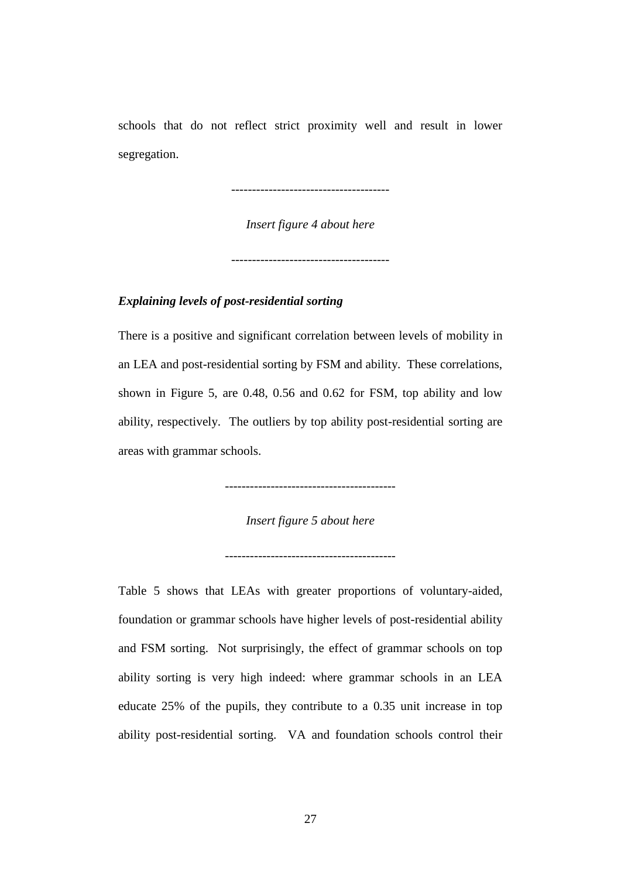schools that do not reflect strict proximity well and result in lower segregation.

--------------------------------------

*Insert figure 4 about here*

--------------------------------------

### *Explaining levels of post-residential sorting*

There is a positive and significant correlation between levels of mobility in an LEA and post-residential sorting by FSM and ability. These correlations, shown in Figure 5, are 0.48, 0.56 and 0.62 for FSM, top ability and low ability, respectively. The outliers by top ability post-residential sorting are areas with grammar schools.

-----------------------------------------

*Insert figure 5 about here*

-----------------------------------------

Table 5 shows that LEAs with greater proportions of voluntary-aided, foundation or grammar schools have higher levels of post-residential ability and FSM sorting. Not surprisingly, the effect of grammar schools on top ability sorting is very high indeed: where grammar schools in an LEA educate 25% of the pupils, they contribute to a 0.35 unit increase in top ability post-residential sorting. VA and foundation schools control their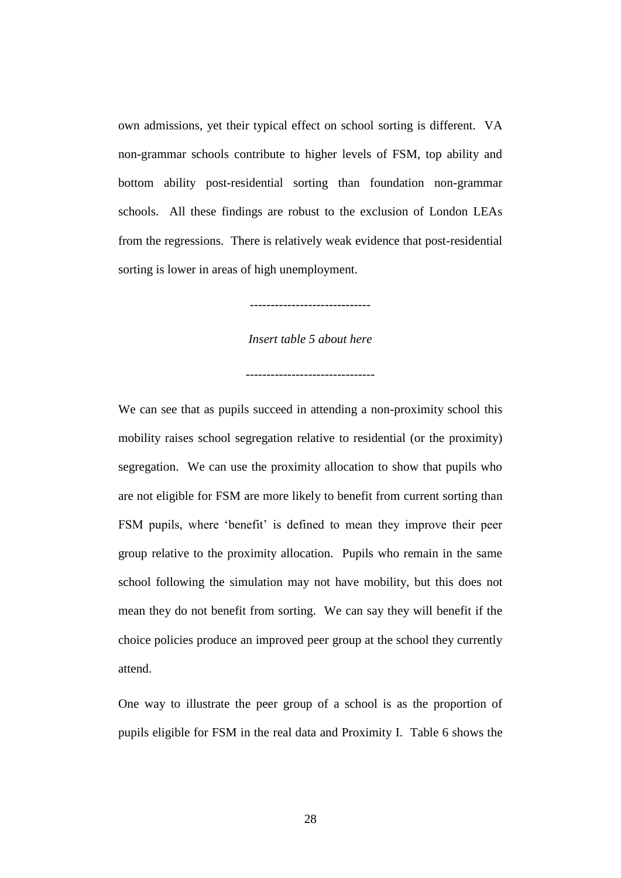own admissions, yet their typical effect on school sorting is different. VA non-grammar schools contribute to higher levels of FSM, top ability and bottom ability post-residential sorting than foundation non-grammar schools. All these findings are robust to the exclusion of London LEAs from the regressions. There is relatively weak evidence that post-residential sorting is lower in areas of high unemployment.

*Insert table 5 about here*

-------------------------------

-----------------------------

We can see that as pupils succeed in attending a non-proximity school this mobility raises school segregation relative to residential (or the proximity) segregation. We can use the proximity allocation to show that pupils who are not eligible for FSM are more likely to benefit from current sorting than FSM pupils, where 'benefit' is defined to mean they improve their peer group relative to the proximity allocation. Pupils who remain in the same school following the simulation may not have mobility, but this does not mean they do not benefit from sorting. We can say they will benefit if the choice policies produce an improved peer group at the school they currently attend.

One way to illustrate the peer group of a school is as the proportion of pupils eligible for FSM in the real data and Proximity I. Table 6 shows the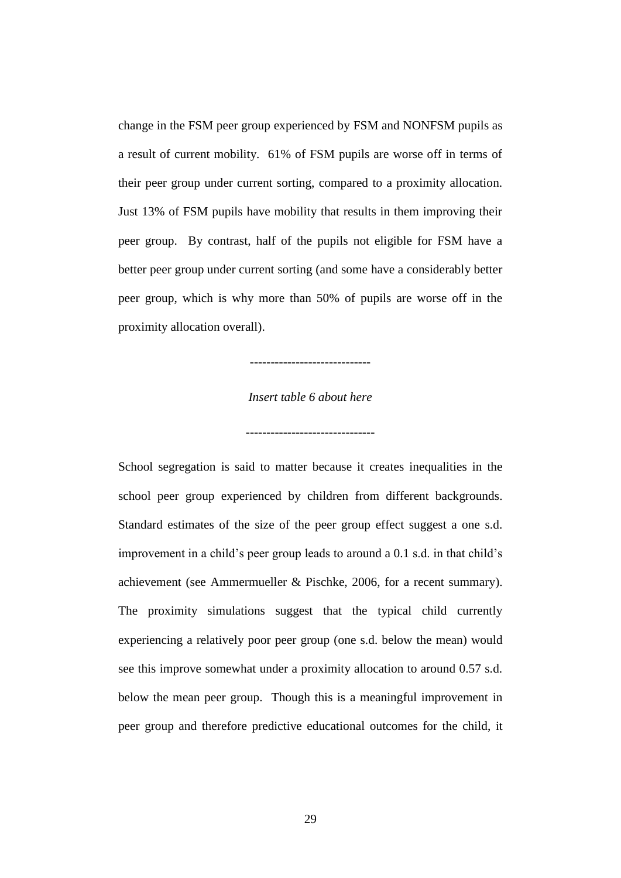change in the FSM peer group experienced by FSM and NONFSM pupils as a result of current mobility. 61% of FSM pupils are worse off in terms of their peer group under current sorting, compared to a proximity allocation. Just 13% of FSM pupils have mobility that results in them improving their peer group. By contrast, half of the pupils not eligible for FSM have a better peer group under current sorting (and some have a considerably better peer group, which is why more than 50% of pupils are worse off in the proximity allocation overall).

-----------------------------

## *Insert table 6 about here*

School segregation is said to matter because it creates inequalities in the school peer group experienced by children from different backgrounds. Standard estimates of the size of the peer group effect suggest a one s.d. improvement in a child's peer group leads to around a 0.1 s.d. in that child's achievement (see Ammermueller & Pischke, 2006, for a recent summary). The proximity simulations suggest that the typical child currently experiencing a relatively poor peer group (one s.d. below the mean) would see this improve somewhat under a proximity allocation to around 0.57 s.d. below the mean peer group. Though this is a meaningful improvement in peer group and therefore predictive educational outcomes for the child, it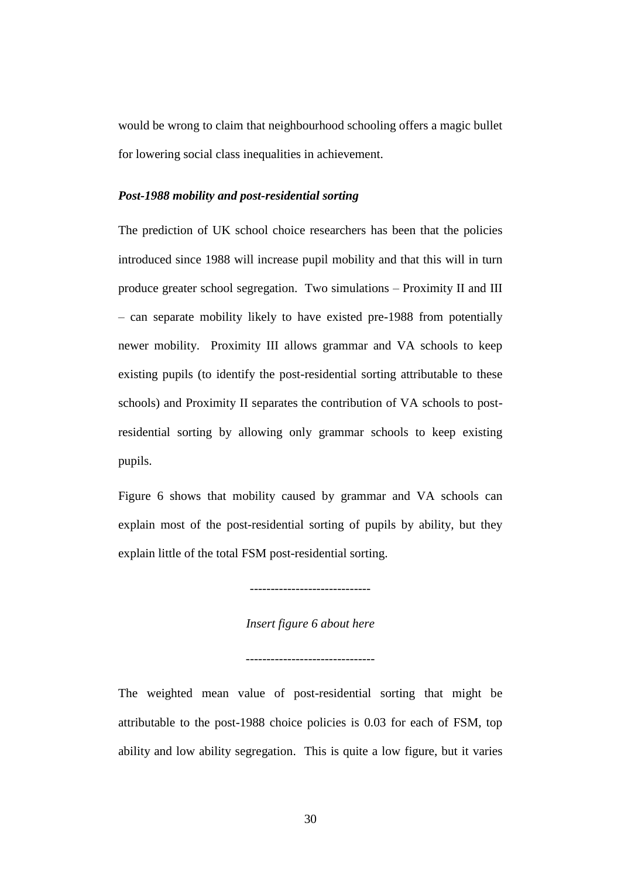would be wrong to claim that neighbourhood schooling offers a magic bullet for lowering social class inequalities in achievement.

#### *Post-1988 mobility and post-residential sorting*

The prediction of UK school choice researchers has been that the policies introduced since 1988 will increase pupil mobility and that this will in turn produce greater school segregation. Two simulations – Proximity II and III – can separate mobility likely to have existed pre-1988 from potentially newer mobility. Proximity III allows grammar and VA schools to keep existing pupils (to identify the post-residential sorting attributable to these schools) and Proximity II separates the contribution of VA schools to postresidential sorting by allowing only grammar schools to keep existing pupils.

Figure 6 shows that mobility caused by grammar and VA schools can explain most of the post-residential sorting of pupils by ability, but they explain little of the total FSM post-residential sorting.

-----------------------------

*Insert figure 6 about here*

-------------------------------

The weighted mean value of post-residential sorting that might be attributable to the post-1988 choice policies is 0.03 for each of FSM, top ability and low ability segregation. This is quite a low figure, but it varies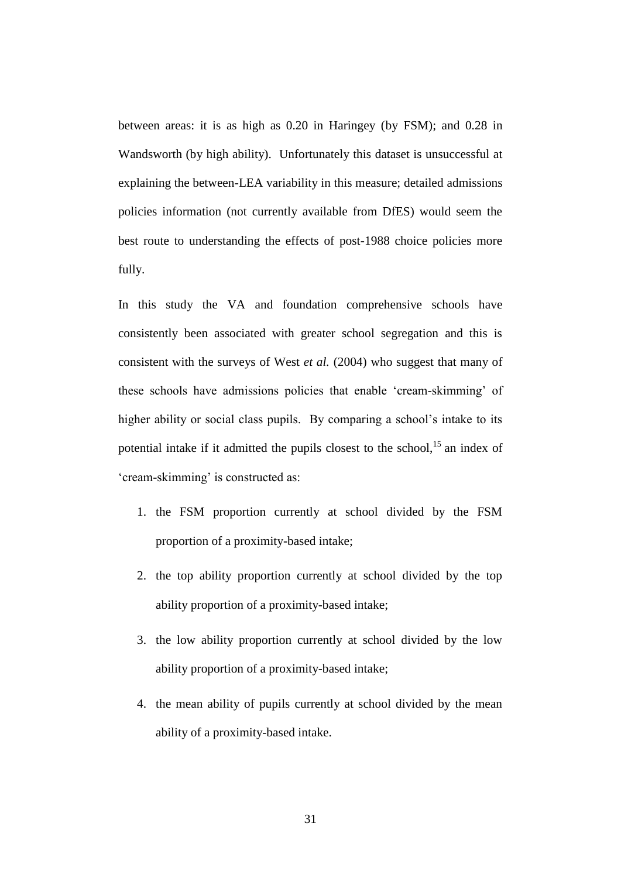between areas: it is as high as 0.20 in Haringey (by FSM); and 0.28 in Wandsworth (by high ability). Unfortunately this dataset is unsuccessful at explaining the between-LEA variability in this measure; detailed admissions policies information (not currently available from DfES) would seem the best route to understanding the effects of post-1988 choice policies more fully.

In this study the VA and foundation comprehensive schools have consistently been associated with greater school segregation and this is consistent with the surveys of West *et al.* (2004) who suggest that many of these schools have admissions policies that enable 'cream-skimming' of higher ability or social class pupils. By comparing a school's intake to its potential intake if it admitted the pupils closest to the school,<sup>15</sup> an index of 'cream-skimming' is constructed as:

- 1. the FSM proportion currently at school divided by the FSM proportion of a proximity-based intake;
- 2. the top ability proportion currently at school divided by the top ability proportion of a proximity-based intake;
- 3. the low ability proportion currently at school divided by the low ability proportion of a proximity-based intake;
- 4. the mean ability of pupils currently at school divided by the mean ability of a proximity-based intake.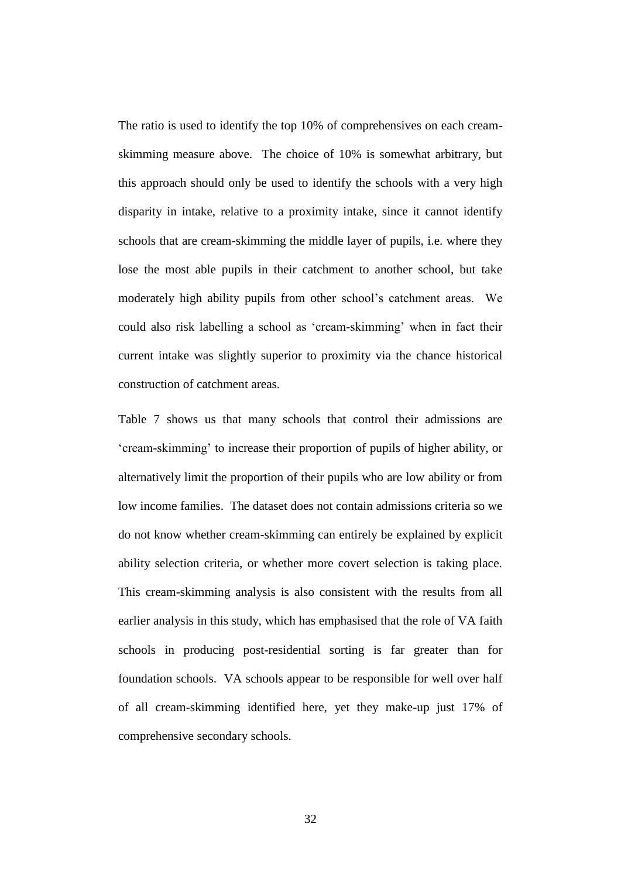The ratio is used to identify the top 10% of comprehensives on each creamskimming measure above. The choice of 10% is somewhat arbitrary, but this approach should only be used to identify the schools with a very high disparity in intake, relative to a proximity intake, since it cannot identify schools that are cream-skimming the middle layer of pupils, i.e. where they lose the most able pupils in their catchment to another school, but take moderately high ability pupils from other school's catchment areas. We could also risk labelling a school as 'cream-skimming' when in fact their current intake was slightly superior to proximity via the chance historical construction of catchment areas.

Table 7 shows us that many schools that control their admissions are 'cream-skimming' to increase their proportion of pupils of higher ability, or alternatively limit the proportion of their pupils who are low ability or from low income families. The dataset does not contain admissions criteria so we do not know whether cream-skimming can entirely be explained by explicit ability selection criteria, or whether more covert selection is taking place. This cream-skimming analysis is also consistent with the results from all earlier analysis in this study, which has emphasised that the role of VA faith schools in producing post-residential sorting is far greater than for foundation schools. VA schools appear to be responsible for well over half of all cream-skimming identified here, yet they make-up just 17% of comprehensive secondary schools.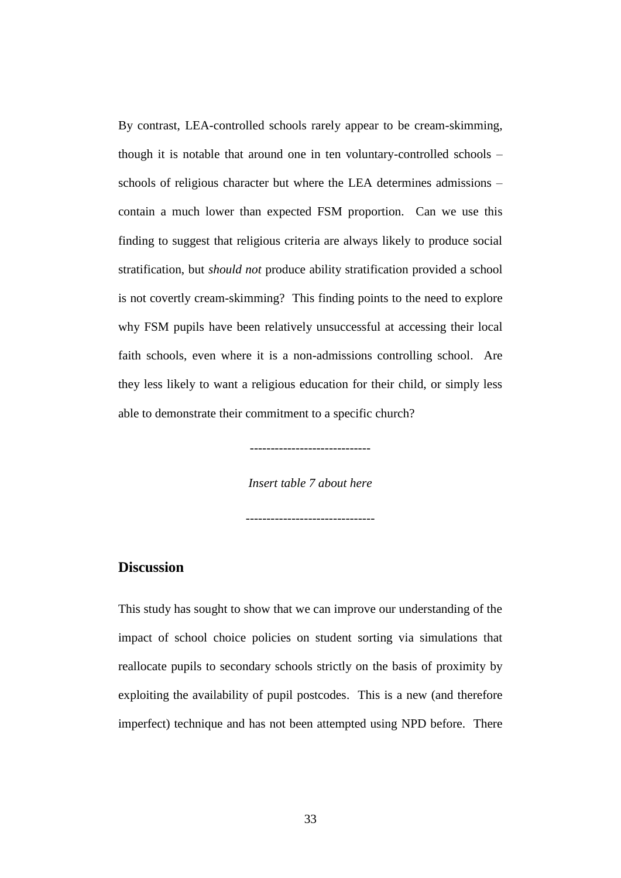By contrast, LEA-controlled schools rarely appear to be cream-skimming, though it is notable that around one in ten voluntary-controlled schools – schools of religious character but where the LEA determines admissions – contain a much lower than expected FSM proportion. Can we use this finding to suggest that religious criteria are always likely to produce social stratification, but *should not* produce ability stratification provided a school is not covertly cream-skimming? This finding points to the need to explore why FSM pupils have been relatively unsuccessful at accessing their local faith schools, even where it is a non-admissions controlling school. Are they less likely to want a religious education for their child, or simply less able to demonstrate their commitment to a specific church?

> ----------------------------- *Insert table 7 about here*

-------------------------------

# **Discussion**

This study has sought to show that we can improve our understanding of the impact of school choice policies on student sorting via simulations that reallocate pupils to secondary schools strictly on the basis of proximity by exploiting the availability of pupil postcodes. This is a new (and therefore imperfect) technique and has not been attempted using NPD before. There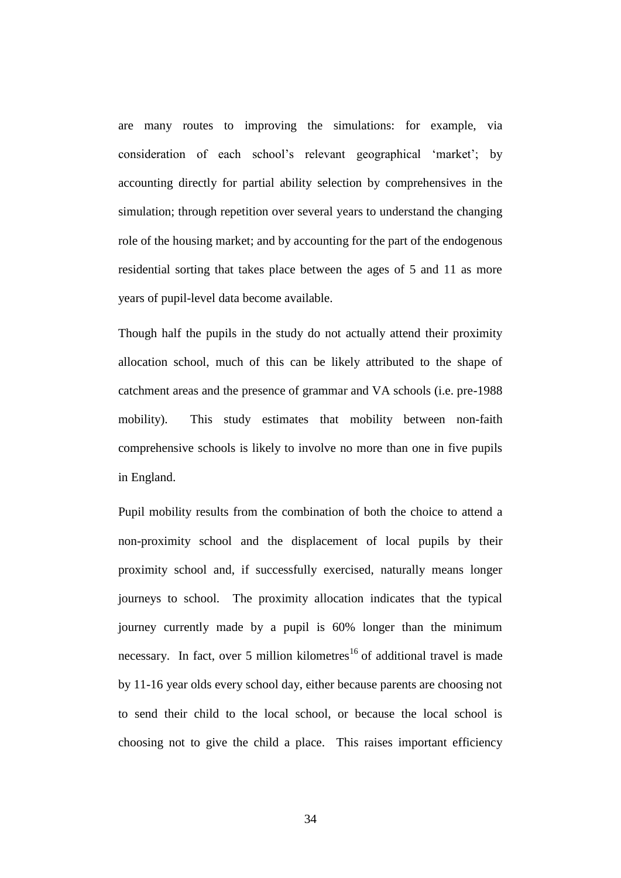are many routes to improving the simulations: for example, via consideration of each school's relevant geographical 'market'; by accounting directly for partial ability selection by comprehensives in the simulation; through repetition over several years to understand the changing role of the housing market; and by accounting for the part of the endogenous residential sorting that takes place between the ages of 5 and 11 as more years of pupil-level data become available.

Though half the pupils in the study do not actually attend their proximity allocation school, much of this can be likely attributed to the shape of catchment areas and the presence of grammar and VA schools (i.e. pre-1988 mobility). This study estimates that mobility between non-faith comprehensive schools is likely to involve no more than one in five pupils in England.

Pupil mobility results from the combination of both the choice to attend a non-proximity school and the displacement of local pupils by their proximity school and, if successfully exercised, naturally means longer journeys to school. The proximity allocation indicates that the typical journey currently made by a pupil is 60% longer than the minimum necessary. In fact, over 5 million kilometres<sup>16</sup> of additional travel is made by 11-16 year olds every school day, either because parents are choosing not to send their child to the local school, or because the local school is choosing not to give the child a place. This raises important efficiency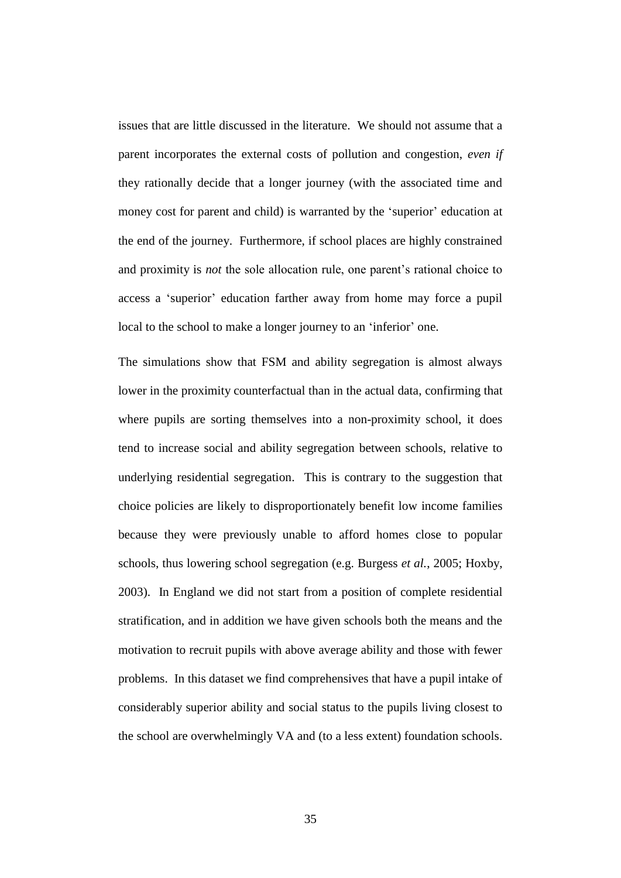issues that are little discussed in the literature. We should not assume that a parent incorporates the external costs of pollution and congestion, *even if* they rationally decide that a longer journey (with the associated time and money cost for parent and child) is warranted by the 'superior' education at the end of the journey. Furthermore, if school places are highly constrained and proximity is *not* the sole allocation rule, one parent's rational choice to access a 'superior' education farther away from home may force a pupil local to the school to make a longer journey to an 'inferior' one.

The simulations show that FSM and ability segregation is almost always lower in the proximity counterfactual than in the actual data, confirming that where pupils are sorting themselves into a non-proximity school, it does tend to increase social and ability segregation between schools, relative to underlying residential segregation. This is contrary to the suggestion that choice policies are likely to disproportionately benefit low income families because they were previously unable to afford homes close to popular schools, thus lowering school segregation (e.g. Burgess *et al.*, 2005; Hoxby, 2003). In England we did not start from a position of complete residential stratification, and in addition we have given schools both the means and the motivation to recruit pupils with above average ability and those with fewer problems. In this dataset we find comprehensives that have a pupil intake of considerably superior ability and social status to the pupils living closest to the school are overwhelmingly VA and (to a less extent) foundation schools.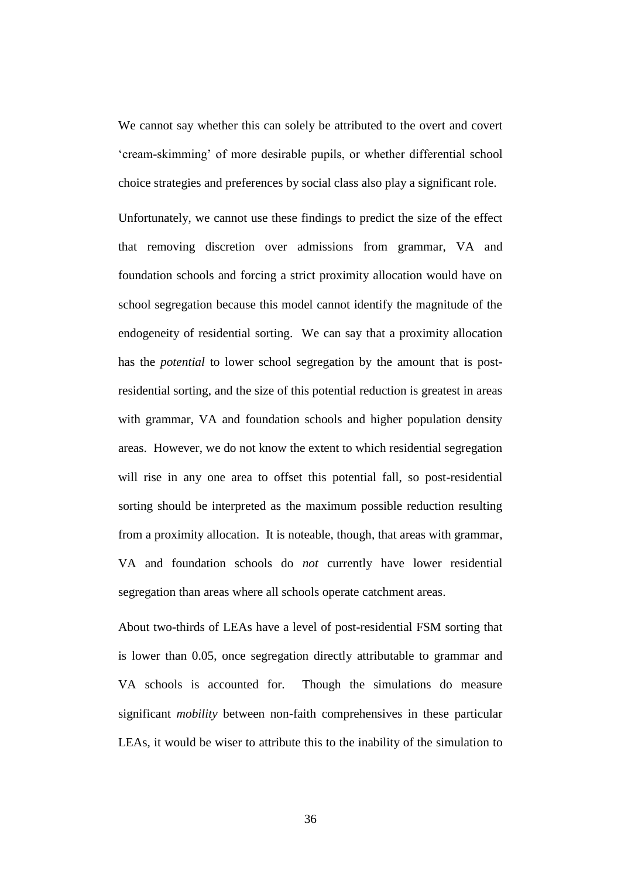We cannot say whether this can solely be attributed to the overt and covert 'cream-skimming' of more desirable pupils, or whether differential school choice strategies and preferences by social class also play a significant role.

Unfortunately, we cannot use these findings to predict the size of the effect that removing discretion over admissions from grammar, VA and foundation schools and forcing a strict proximity allocation would have on school segregation because this model cannot identify the magnitude of the endogeneity of residential sorting. We can say that a proximity allocation has the *potential* to lower school segregation by the amount that is postresidential sorting, and the size of this potential reduction is greatest in areas with grammar, VA and foundation schools and higher population density areas. However, we do not know the extent to which residential segregation will rise in any one area to offset this potential fall, so post-residential sorting should be interpreted as the maximum possible reduction resulting from a proximity allocation. It is noteable, though, that areas with grammar, VA and foundation schools do *not* currently have lower residential segregation than areas where all schools operate catchment areas.

About two-thirds of LEAs have a level of post-residential FSM sorting that is lower than 0.05, once segregation directly attributable to grammar and VA schools is accounted for. Though the simulations do measure significant *mobility* between non-faith comprehensives in these particular LEAs, it would be wiser to attribute this to the inability of the simulation to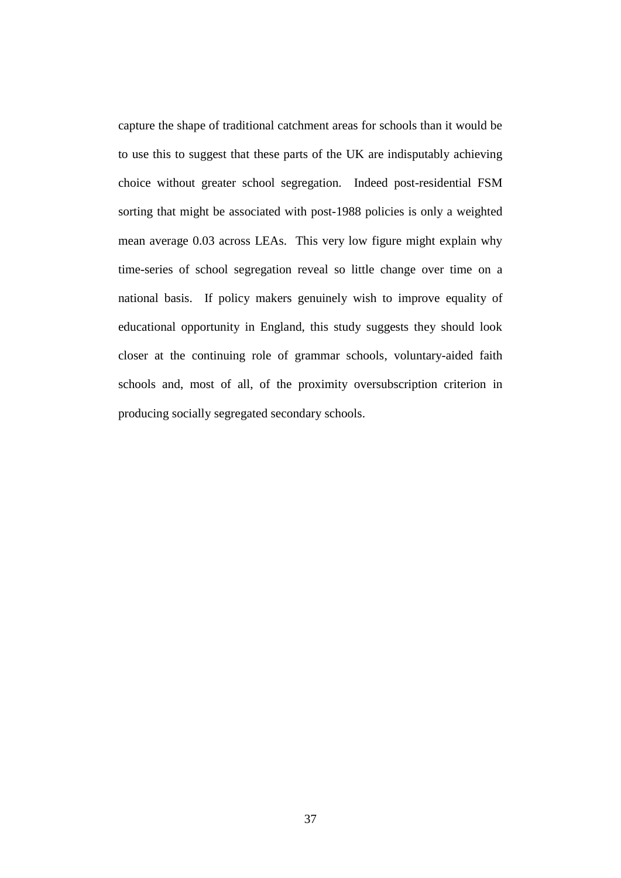capture the shape of traditional catchment areas for schools than it would be to use this to suggest that these parts of the UK are indisputably achieving choice without greater school segregation. Indeed post-residential FSM sorting that might be associated with post-1988 policies is only a weighted mean average 0.03 across LEAs. This very low figure might explain why time-series of school segregation reveal so little change over time on a national basis. If policy makers genuinely wish to improve equality of educational opportunity in England, this study suggests they should look closer at the continuing role of grammar schools, voluntary-aided faith schools and, most of all, of the proximity oversubscription criterion in producing socially segregated secondary schools.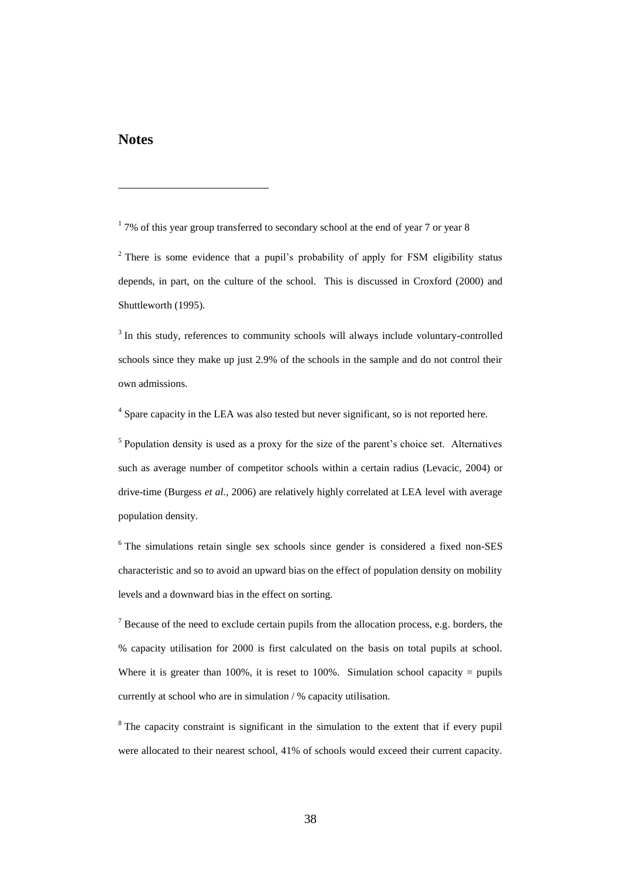## **Notes**

 $\overline{a}$ 

 $17\%$  of this year group transferred to secondary school at the end of year 7 or year 8

<sup>2</sup> There is some evidence that a pupil's probability of apply for FSM eligibility status depends, in part, on the culture of the school. This is discussed in Croxford (2000) and Shuttleworth (1995).

<sup>3</sup> In this study, references to community schools will always include voluntary-controlled schools since they make up just 2.9% of the schools in the sample and do not control their own admissions.

<sup>4</sup> Spare capacity in the LEA was also tested but never significant, so is not reported here.

<sup>5</sup> Population density is used as a proxy for the size of the parent's choice set. Alternatives such as average number of competitor schools within a certain radius (Levacic, 2004) or drive-time (Burgess *et al.*, 2006) are relatively highly correlated at LEA level with average population density.

<sup>6</sup> The simulations retain single sex schools since gender is considered a fixed non-SES characteristic and so to avoid an upward bias on the effect of population density on mobility levels and a downward bias in the effect on sorting.

 $<sup>7</sup>$  Because of the need to exclude certain pupils from the allocation process, e.g. borders, the</sup> % capacity utilisation for 2000 is first calculated on the basis on total pupils at school. Where it is greater than 100%, it is reset to 100%. Simulation school capacity = pupils currently at school who are in simulation / % capacity utilisation.

 $8$ <sup>8</sup> The capacity constraint is significant in the simulation to the extent that if every pupil were allocated to their nearest school, 41% of schools would exceed their current capacity.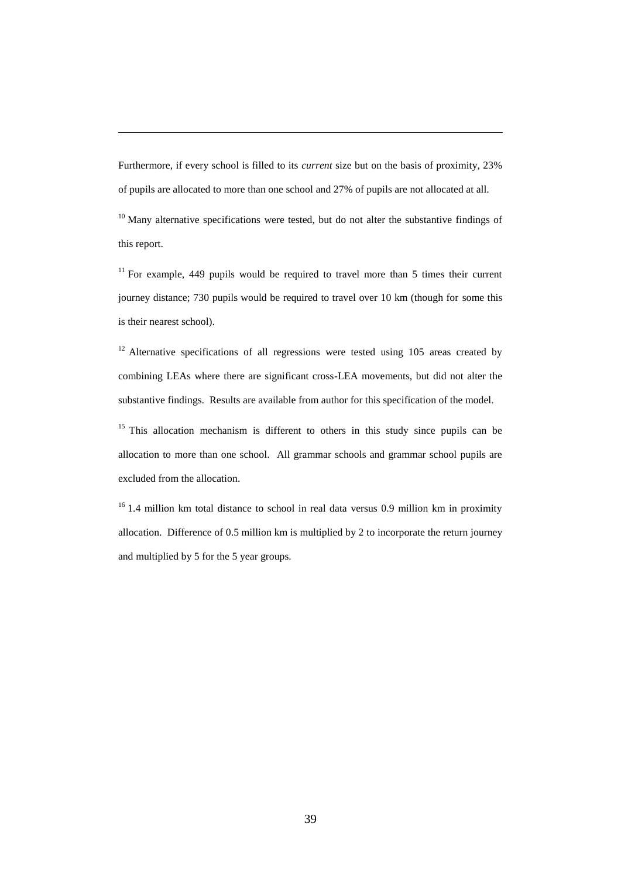Furthermore, if every school is filled to its *current* size but on the basis of proximity, 23% of pupils are allocated to more than one school and 27% of pupils are not allocated at all.

 $\overline{a}$ 

 $10$  Many alternative specifications were tested, but do not alter the substantive findings of this report.

 $11$  For example, 449 pupils would be required to travel more than 5 times their current journey distance; 730 pupils would be required to travel over 10 km (though for some this is their nearest school).

 $12$  Alternative specifications of all regressions were tested using 105 areas created by combining LEAs where there are significant cross-LEA movements, but did not alter the substantive findings. Results are available from author for this specification of the model.

<sup>15</sup> This allocation mechanism is different to others in this study since pupils can be allocation to more than one school. All grammar schools and grammar school pupils are excluded from the allocation.

 $16$  1.4 million km total distance to school in real data versus 0.9 million km in proximity allocation. Difference of 0.5 million km is multiplied by 2 to incorporate the return journey and multiplied by 5 for the 5 year groups.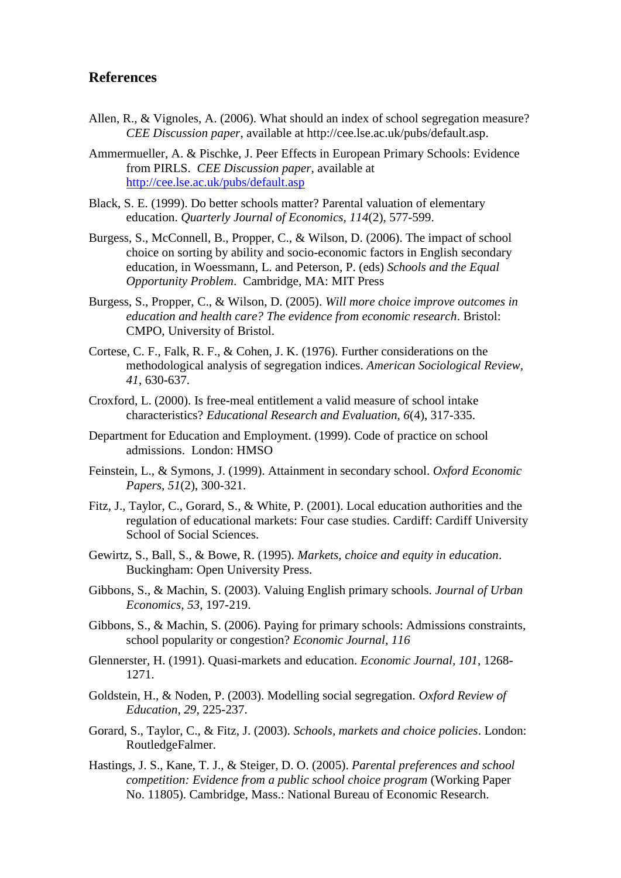# **References**

- Allen, R., & Vignoles, A. (2006). What should an index of school segregation measure? *CEE Discussion paper*, available at http://cee.lse.ac.uk/pubs/default.asp.
- Ammermueller, A. & Pischke, J. Peer Effects in European Primary Schools: Evidence from PIRLS. *CEE Discussion paper*, available at <http://cee.lse.ac.uk/pubs/default.asp>
- Black, S. E. (1999). Do better schools matter? Parental valuation of elementary education. *Quarterly Journal of Economics, 114*(2), 577-599.
- Burgess, S., McConnell, B., Propper, C., & Wilson, D. (2006). The impact of school choice on sorting by ability and socio-economic factors in English secondary education, in Woessmann, L. and Peterson, P. (eds) *Schools and the Equal Opportunity Problem*. Cambridge, MA: MIT Press
- Burgess, S., Propper, C., & Wilson, D. (2005). *Will more choice improve outcomes in education and health care? The evidence from economic research*. Bristol: CMPO, University of Bristol.
- Cortese, C. F., Falk, R. F., & Cohen, J. K. (1976). Further considerations on the methodological analysis of segregation indices. *American Sociological Review, 41*, 630-637.
- Croxford, L. (2000). Is free-meal entitlement a valid measure of school intake characteristics? *Educational Research and Evaluation, 6*(4), 317-335.
- Department for Education and Employment. (1999). Code of practice on school admissions. London: HMSO
- Feinstein, L., & Symons, J. (1999). Attainment in secondary school. *Oxford Economic Papers, 51*(2), 300-321.
- Fitz, J., Taylor, C., Gorard, S., & White, P. (2001). Local education authorities and the regulation of educational markets: Four case studies. Cardiff: Cardiff University School of Social Sciences.
- Gewirtz, S., Ball, S., & Bowe, R. (1995). *Markets, choice and equity in education*. Buckingham: Open University Press.
- Gibbons, S., & Machin, S. (2003). Valuing English primary schools. *Journal of Urban Economics, 53*, 197-219.
- Gibbons, S., & Machin, S. (2006). Paying for primary schools: Admissions constraints, school popularity or congestion? *Economic Journal, 116*
- Glennerster, H. (1991). Quasi-markets and education. *Economic Journal, 101*, 1268- 1271.
- Goldstein, H., & Noden, P. (2003). Modelling social segregation. *Oxford Review of Education, 29*, 225-237.
- Gorard, S., Taylor, C., & Fitz, J. (2003). *Schools, markets and choice policies*. London: RoutledgeFalmer.
- Hastings, J. S., Kane, T. J., & Steiger, D. O. (2005). *Parental preferences and school competition: Evidence from a public school choice program* (Working Paper No. 11805). Cambridge, Mass.: National Bureau of Economic Research.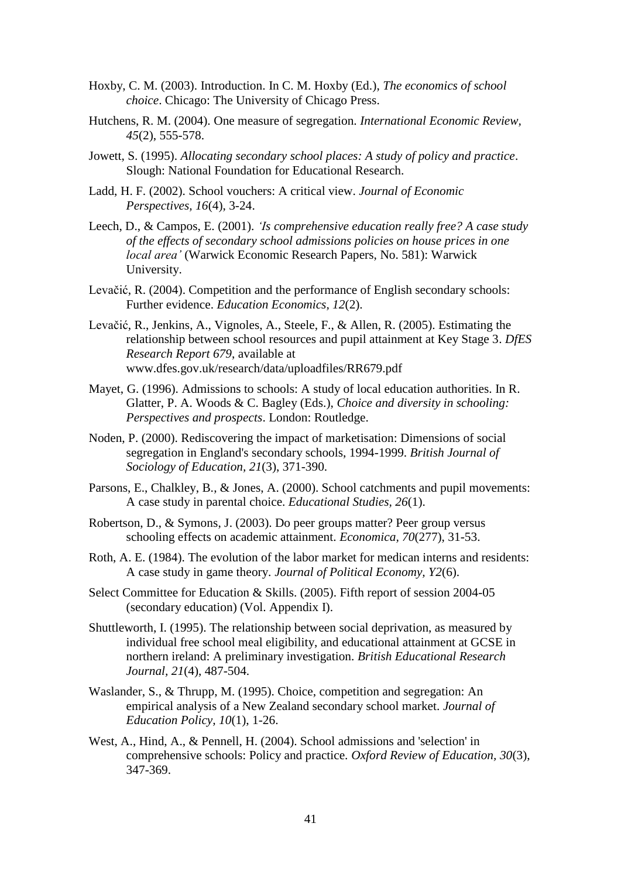- Hoxby, C. M. (2003). Introduction. In C. M. Hoxby (Ed.), *The economics of school choice*. Chicago: The University of Chicago Press.
- Hutchens, R. M. (2004). One measure of segregation. *International Economic Review, 45*(2), 555-578.
- Jowett, S. (1995). *Allocating secondary school places: A study of policy and practice*. Slough: National Foundation for Educational Research.
- Ladd, H. F. (2002). School vouchers: A critical view. *Journal of Economic Perspectives, 16*(4), 3-24.
- Leech, D., & Campos, E. (2001). *'Is comprehensive education really free? A case study of the effects of secondary school admissions policies on house prices in one local area'* (Warwick Economic Research Papers, No. 581): Warwick University.
- Levačić, R. (2004). Competition and the performance of English secondary schools: Further evidence. *Education Economics, 12*(2).
- Levačić, R., Jenkins, A., Vignoles, A., Steele, F., & Allen, R. (2005). Estimating the relationship between school resources and pupil attainment at Key Stage 3. *DfES Research Report 679*, available at www.dfes.gov.uk/research/data/uploadfiles/RR679.pdf
- Mayet, G. (1996). Admissions to schools: A study of local education authorities. In R. Glatter, P. A. Woods & C. Bagley (Eds.), *Choice and diversity in schooling: Perspectives and prospects*. London: Routledge.
- Noden, P. (2000). Rediscovering the impact of marketisation: Dimensions of social segregation in England's secondary schools, 1994-1999. *British Journal of Sociology of Education, 21*(3), 371-390.
- Parsons, E., Chalkley, B., & Jones, A. (2000). School catchments and pupil movements: A case study in parental choice. *Educational Studies, 26*(1).
- Robertson, D., & Symons, J. (2003). Do peer groups matter? Peer group versus schooling effects on academic attainment. *Economica, 70*(277), 31-53.
- Roth, A. E. (1984). The evolution of the labor market for medican interns and residents: A case study in game theory. *Journal of Political Economy, Y2*(6).
- Select Committee for Education & Skills. (2005). Fifth report of session 2004-05 (secondary education) (Vol. Appendix I).
- Shuttleworth, I. (1995). The relationship between social deprivation, as measured by individual free school meal eligibility, and educational attainment at GCSE in northern ireland: A preliminary investigation. *British Educational Research Journal, 21*(4), 487-504.
- Waslander, S., & Thrupp, M. (1995). Choice, competition and segregation: An empirical analysis of a New Zealand secondary school market. *Journal of Education Policy, 10*(1), 1-26.
- West, A., Hind, A., & Pennell, H. (2004). School admissions and 'selection' in comprehensive schools: Policy and practice. *Oxford Review of Education, 30*(3), 347-369.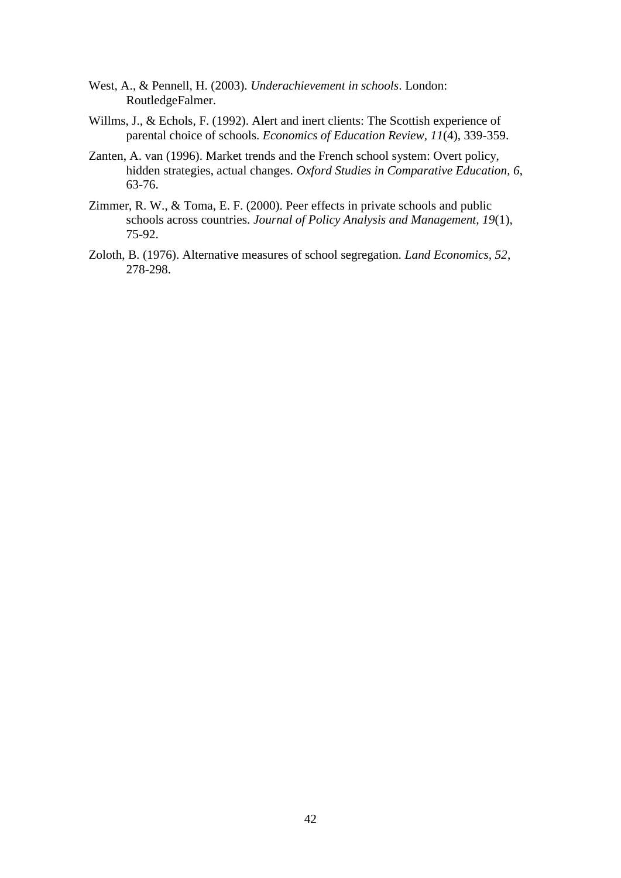- West, A., & Pennell, H. (2003). *Underachievement in schools*. London: RoutledgeFalmer.
- Willms, J., & Echols, F. (1992). Alert and inert clients: The Scottish experience of parental choice of schools. *Economics of Education Review, 11*(4), 339-359.
- Zanten, A. van (1996). Market trends and the French school system: Overt policy, hidden strategies, actual changes. *Oxford Studies in Comparative Education, 6*, 63-76.
- Zimmer, R. W., & Toma, E. F. (2000). Peer effects in private schools and public schools across countries. *Journal of Policy Analysis and Management, 19*(1), 75-92.
- Zoloth, B. (1976). Alternative measures of school segregation. *Land Economics, 52*, 278-298.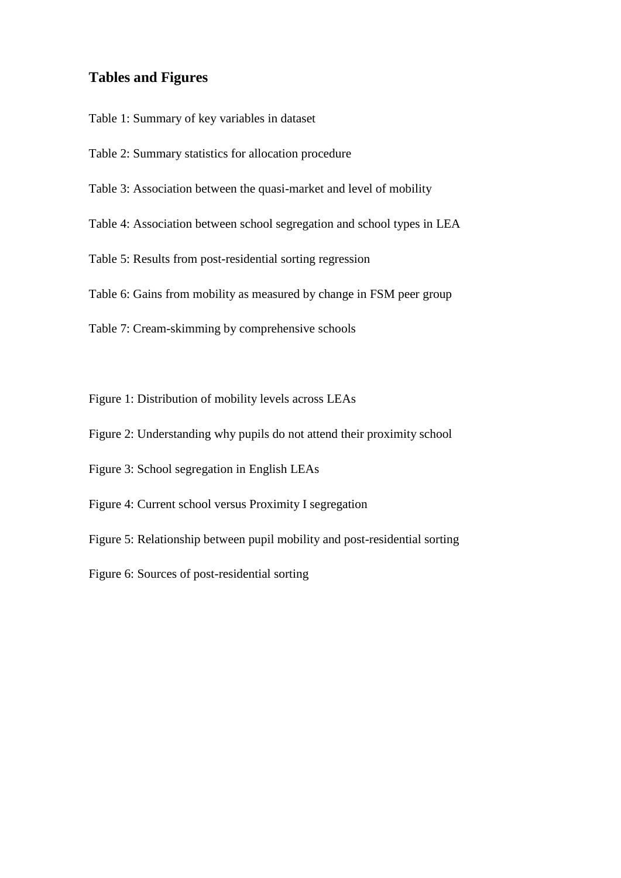# **Tables and Figures**

Table 1: Summary of key variables in dataset

- Table 2: Summary statistics for allocation procedure
- Table 3: Association between the quasi-market and level of mobility
- Table 4: Association between school segregation and school types in LEA

Table 5: Results from post-residential sorting regression

Table 6: Gains from mobility as measured by change in FSM peer group

Table 7: Cream-skimming by comprehensive schools

Figure 1: Distribution of mobility levels across LEAs

Figure 2: Understanding why pupils do not attend their proximity school

Figure 3: School segregation in English LEAs

Figure 4: Current school versus Proximity I segregation

Figure 5: Relationship between pupil mobility and post-residential sorting

Figure 6: Sources of post-residential sorting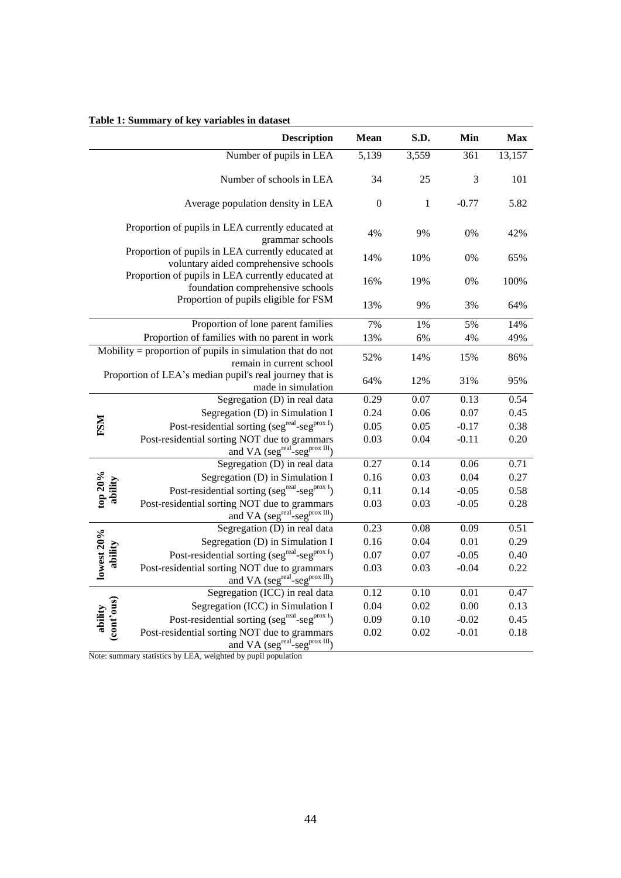|                       | <b>Description</b>                                                                                     | Mean           | S.D.              | Min     | <b>Max</b> |
|-----------------------|--------------------------------------------------------------------------------------------------------|----------------|-------------------|---------|------------|
|                       | Number of pupils in LEA                                                                                | 5,139          | 3,559             | 361     | 13,157     |
|                       | Number of schools in LEA                                                                               | 34             | 25                | 3       | 101        |
|                       | Average population density in LEA                                                                      | $\overline{0}$ | $\mathbf{1}$      | $-0.77$ | 5.82       |
|                       | Proportion of pupils in LEA currently educated at<br>grammar schools                                   | 4%             | 9%                | 0%      | 42%        |
|                       | Proportion of pupils in LEA currently educated at<br>voluntary aided comprehensive schools             | 14%            | 10%               | 0%      | 65%        |
|                       | Proportion of pupils in LEA currently educated at<br>foundation comprehensive schools                  | 16%            | 19%               | 0%      | 100%       |
|                       | Proportion of pupils eligible for FSM                                                                  | 13%            | 9%                | 3%      | 64%        |
|                       | Proportion of lone parent families                                                                     | 7%             | $1\%$             | 5%      | 14%        |
|                       | Proportion of families with no parent in work                                                          | 13%            | 6%                | 4%      | 49%        |
|                       | $M_{\text{obility}} =$ proportion of pupils in simulation that do not<br>remain in current school      | 52%            | 14%               | 15%     | 86%        |
|                       | Proportion of LEA's median pupil's real journey that is<br>made in simulation                          | 64%            | 12%               | 31%     | 95%        |
|                       | Segregation (D) in real data                                                                           | 0.29           | 0.07              | 0.13    | 0.54       |
|                       | Segregation (D) in Simulation I                                                                        | 0.24           | 0.06              | 0.07    | 0.45       |
| <b>FSM</b>            | Post-residential sorting (seg <sup>real</sup> -seg <sup>prox I</sup> )                                 | 0.05           | 0.05              | $-0.17$ | 0.38       |
|                       | Post-residential sorting NOT due to grammars<br>and VA (seg <sup>real</sup> -seg <sup>prox III</sup> ) | 0.03           | 0.04              | $-0.11$ | 0.20       |
|                       | Segregation (D) in real data                                                                           | 0.27           | 0.14              | 0.06    | 0.71       |
|                       | Segregation (D) in Simulation I                                                                        | 0.16           | 0.03              | 0.04    | 0.27       |
|                       | Post-residential sorting (seg <sup>real</sup> -seg <sup>prox I</sup> )                                 | 0.11           | 0.14              | $-0.05$ | 0.58       |
| top $20\%$<br>ability | Post-residential sorting NOT due to grammars<br>and VA (seg <sup>real</sup> -seg <sup>prox III</sup> ) | 0.03           | 0.03              | $-0.05$ | 0.28       |
|                       | Segregation (D) in real data                                                                           | 0.23           | 0.08              | 0.09    | 0.51       |
|                       | Segregation (D) in Simulation I                                                                        | 0.16           | 0.04              | 0.01    | 0.29       |
| ability               | Post-residential sorting (seg <sup>real</sup> -seg <sup>prox I</sup> )                                 | 0.07           | 0.07              | $-0.05$ | 0.40       |
| lowest 20%            | Post-residential sorting NOT due to grammars<br>and VA (seg <sup>real</sup> -seg <sup>prox III</sup> ) | 0.03           | 0.03              | $-0.04$ | 0.22       |
|                       | Segregation (ICC) in real data                                                                         | 0.12           | $\overline{0.10}$ | 0.01    | 0.47       |
|                       | Segregation (ICC) in Simulation I                                                                      | 0.04           | 0.02              | 0.00    | 0.13       |
|                       | Post-residential sorting (seg <sup>real</sup> -seg <sup>prox I</sup> )                                 | 0.09           | 0.10              | $-0.02$ | 0.45       |
| ability<br>(cont'ous) | Post-residential sorting NOT due to grammars<br>and VA ( $seg^{real-se}$ - $seg^{prox III}$ )          | 0.02           | 0.02              | $-0.01$ | 0.18       |

#### **Table 1: Summary of key variables in dataset**

Note: summary statistics by LEA, weighted by pupil population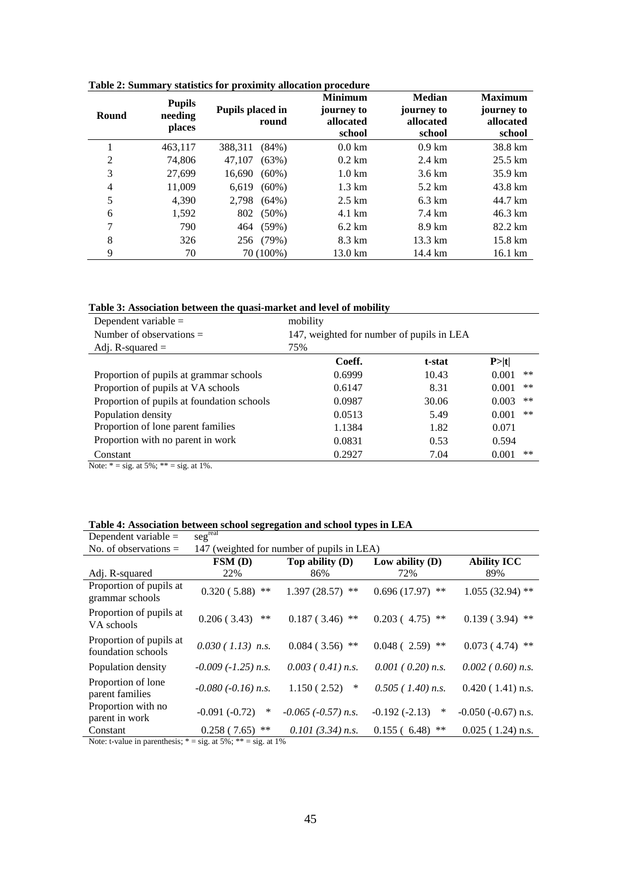| Round          | <b>Pupils</b><br>needing<br>places | Pupils placed in<br>round | <b>Minimum</b><br>journey to<br>allocated<br>school | <b>Median</b><br>journey to<br>allocated<br>school | <b>Maximum</b><br>journey to<br>allocated<br>school |
|----------------|------------------------------------|---------------------------|-----------------------------------------------------|----------------------------------------------------|-----------------------------------------------------|
|                | 463,117                            | 388,311<br>$(84\%)$       | $0.0 \mathrm{km}$                                   | $0.9 \mathrm{km}$                                  | 38.8 km                                             |
| $\overline{2}$ | 74.806                             | (63%)<br>47.107           | $0.2 \text{ km}$                                    | $2.4 \text{ km}$                                   | $25.5 \text{ km}$                                   |
| 3              | 27.699                             | $(60\%)$<br>16,690        | $1.0 \mathrm{km}$                                   | $3.6 \text{ km}$                                   | 35.9 km                                             |
| 4              | 11,009                             | $(60\%)$<br>6.619         | $1.3 \text{ km}$                                    | $5.2 \text{ km}$                                   | 43.8 km                                             |
| 5              | 4.390                              | 2.798<br>$(64\%)$         | $2.5 \text{ km}$                                    | $6.3 \text{ km}$                                   | 44.7 km                                             |
| 6              | 1,592                              | 802<br>$(50\%)$           | 4.1 km                                              | 7.4 km                                             | 46.3 km                                             |
| 7              | 790                                | $(59\%)$<br>464           | $6.2 \text{ km}$                                    | 8.9 km                                             | 82.2 km                                             |
| 8              | 326                                | 256 (79%)                 | 8.3 km                                              | $13.3 \text{ km}$                                  | $15.8 \text{ km}$                                   |
| 9              | 70                                 | 70 (100%)                 | 13.0 km                                             | 14.4 km                                            | $16.1 \text{ km}$                                   |

**Table 2: Summary statistics for proximity allocation procedure**

| Table 3: Association between the quasi-market and level of mobility |  |  |
|---------------------------------------------------------------------|--|--|
|---------------------------------------------------------------------|--|--|

| Dependent variable $=$                     | mobility                                  |        |                |  |  |
|--------------------------------------------|-------------------------------------------|--------|----------------|--|--|
| Number of observations $=$                 | 147, weighted for number of pupils in LEA |        |                |  |  |
| Adj. R-squared $=$                         | 75%                                       |        |                |  |  |
|                                            | Coeff.                                    | t-stat | P >  t         |  |  |
| Proportion of pupils at grammar schools    | 0.6999                                    | 10.43  | $***$<br>0.001 |  |  |
| Proportion of pupils at VA schools         | 0.6147                                    | 8.31   | $***$<br>0.001 |  |  |
| Proportion of pupils at foundation schools | 0.0987                                    | 30.06  | 0.003<br>$***$ |  |  |
| Population density                         | 0.0513                                    | 5.49   | 0.001<br>$***$ |  |  |
| Proportion of lone parent families         | 1.1384                                    | 1.82   | 0.071          |  |  |
| Proportion with no parent in work          | 0.0831                                    | 0.53   | 0.594          |  |  |
| Constant                                   | 0.2927                                    | 7.04   | 0.001<br>**    |  |  |

Note:  $* = sig.$  at 5%;  $** = sig.$  at 1%.

| Dependent variable $=$                                                 | segreal                                    |                           |                         |                         |  |  |
|------------------------------------------------------------------------|--------------------------------------------|---------------------------|-------------------------|-------------------------|--|--|
| No. of observations $=$                                                | 147 (weighted for number of pupils in LEA) |                           |                         |                         |  |  |
| <b>Ability ICC</b><br>FSM(D)<br>Top ability $(D)$<br>Low ability $(D)$ |                                            |                           |                         |                         |  |  |
| Adj. R-squared                                                         | 22%                                        | 86%                       | 72%                     | 89%                     |  |  |
| Proportion of pupils at<br>grammar schools                             | $0.320(5.88)$ **                           | $1.397(28.57)$ **         | $0.696(17.97)$ **       | $1.055(32.94)$ **       |  |  |
| Proportion of pupils at<br>VA schools                                  | 0.206(3.43)<br>$***$                       | $0.187(3.46)$ **          | $0.203(4.75)$ **        | 0.139(3.94)<br>$***$    |  |  |
| Proportion of pupils at<br>foundation schools                          | $0.030(1.13)$ n.s.                         | $0.084(3.56)$ **          | $0.048(2.59)$ **        | 0.073(4.74)<br>**       |  |  |
| Population density                                                     | $-0.009$ ( $-1.25$ ) n.s.                  | $0.003$ ( $0.41$ ) n.s.   | $0.001$ ( $0.20$ ) n.s. | $0.002$ ( $0.60$ ) n.s. |  |  |
| Proportion of lone<br>parent families                                  | $-0.080$ ( $-0.16$ ) n.s.                  | 1.150(2.52)<br>∗          | $0.505$ (1.40) n.s.     | $0.420(1.41)$ n.s.      |  |  |
| Proportion with no<br>parent in work                                   | $-0.091(-0.72)$<br>$\ast$                  | $-0.065$ ( $-0.57$ ) n.s. | $-0.192(-2.13)$<br>∗    | $-0.050$ $(-0.67)$ n.s. |  |  |
| Constant                                                               | $***$<br>0.258(7.65)                       | $0.101(3.34)$ n.s.        | 0.155(6.48)<br>**       | $0.025$ (1.24) n.s.     |  |  |

Note: t-value in parenthesis;  $* = sig$ . at  $5\%$ ;  $** = sig$ . at  $1\%$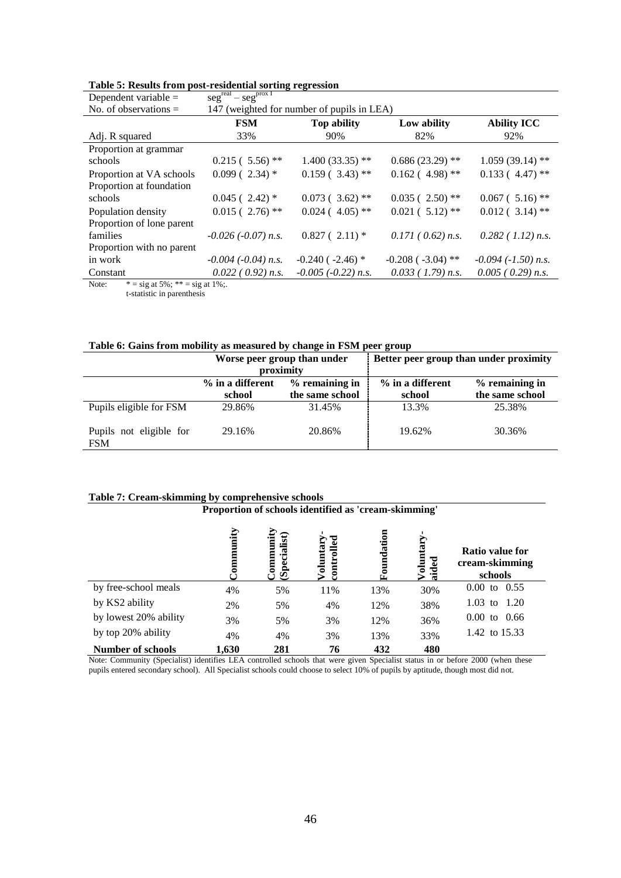| Dependent variable $=$    | $segreal - segprox I$                      |                           |                         |                              |  |  |
|---------------------------|--------------------------------------------|---------------------------|-------------------------|------------------------------|--|--|
| No. of observations $=$   | 147 (weighted for number of pupils in LEA) |                           |                         |                              |  |  |
|                           | <b>FSM</b>                                 | <b>Top ability</b>        | Low ability             | <b>Ability ICC</b>           |  |  |
| Adj. R squared            | 33%                                        | 90%                       | 82%                     | 92%                          |  |  |
| Proportion at grammar     |                                            |                           |                         |                              |  |  |
| schools                   | $0.215(5.56)$ **                           | $1.400(33.35)$ **         | $0.686(23.29)$ **       | $1.059(39.14)$ **            |  |  |
| Proportion at VA schools  | $0.099(2.34)$ *                            | $0.159(3.43)$ **          | $0.162(4.98)$ **        | $0.133(4.47)$ **             |  |  |
| Proportion at foundation  |                                            |                           |                         |                              |  |  |
| schools                   | $0.045(2.42)$ *                            | $0.073(3.62)$ **          | $0.035(2.50)$ **        | $0.067$ (5.16) <sup>**</sup> |  |  |
| Population density        | $0.015(2.76)$ **                           | $0.024(4.05)$ **          | $0.021(5.12)$ **        | $0.012(3.14)$ **             |  |  |
| Proportion of lone parent |                                            |                           |                         |                              |  |  |
| families                  | $-0.026$ ( $-0.07$ ) n.s.                  | $0.827(2.11)*$            | 0.171(0.62) n.s.        | $0.282$ (1.12) n.s.          |  |  |
| Proportion with no parent |                                            |                           |                         |                              |  |  |
| in work                   | $-0.004$ ( $-0.04$ ) n.s.                  | $-0.240$ ( $-2.46$ ) *    | $-0.208$ ( $-3.04$ ) ** | $-0.094$ ( $-1.50$ ) n.s.    |  |  |
| Constant                  | $0.022$ ( $0.92$ ) n.s.                    | $-0.005$ ( $-0.22$ ) n.s. | $0.033$ (1.79) n.s.     | $0.005$ ( 0.29) n.s.         |  |  |
|                           |                                            |                           |                         |                              |  |  |

#### **Table 5: Results from post-residential sorting regression**

Note:  $* = sig$  at 5%;  $** = sig$  at 1%;.

t-statistic in parenthesis

|                                       |                                                                   | Worse peer group than under | Better peer group than under proximity |                                   |  |
|---------------------------------------|-------------------------------------------------------------------|-----------------------------|----------------------------------------|-----------------------------------|--|
|                                       |                                                                   | proximity                   |                                        |                                   |  |
|                                       | $%$ remaining in<br>% in a different<br>the same school<br>school |                             | % in a different                       | % remaining in<br>the same school |  |
|                                       |                                                                   |                             | school                                 |                                   |  |
| Pupils eligible for FSM               | 29.86%                                                            | 31.45%                      | 13.3%                                  | 25.38%                            |  |
| Pupils not eligible for<br><b>FSM</b> | 29.16%                                                            | 20.86%                      | 19.62%                                 | 30.36%                            |  |

#### **Table 7: Cream-skimming by comprehensive schools**

#### **Proportion of schools identified as 'cream-skimming'**

|                          | nity  | Specialist)<br>ommuni) | trolled<br>oluntar | oundation<br>r., | Voluntar<br>aided | Ratio value for<br>cream-skimming<br>schools |
|--------------------------|-------|------------------------|--------------------|------------------|-------------------|----------------------------------------------|
| by free-school meals     | 4%    | 5%                     | 11%                | 13%              | 30%               | $0.00 \text{ to } 0.55$                      |
| by KS2 ability           | 2%    | 5%                     | 4%                 | 12%              | 38%               | $1.03$ to<br>1.20                            |
| by lowest 20% ability    | 3%    | 5%                     | 3%                 | 12%              | 36%               | 0.66<br>$0.00$ to                            |
| by top 20% ability       | 4%    | 4%                     | 3%                 | 13%              | 33%               | 1.42 to 15.33                                |
| <b>Number of schools</b> | 1,630 | 281                    | 76                 | 432              | 480               |                                              |

Note: Community (Specialist) identifies LEA controlled schools that were given Specialist status in or before 2000 (when these pupils entered secondary school). All Specialist schools could choose to select 10% of pupils by aptitude, though most did not.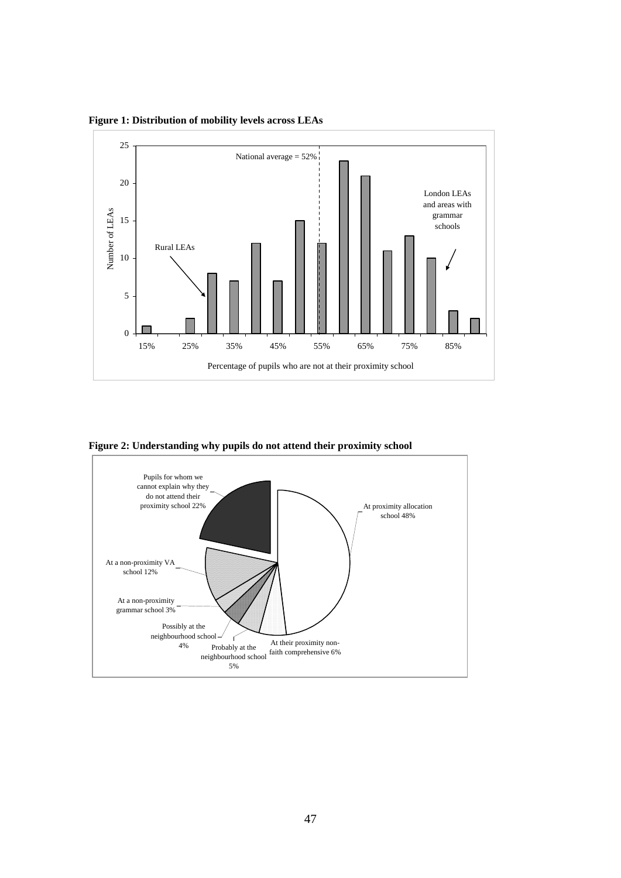**Figure 1: Distribution of mobility levels across LEAs**



**Figure 2: Understanding why pupils do not attend their proximity school**

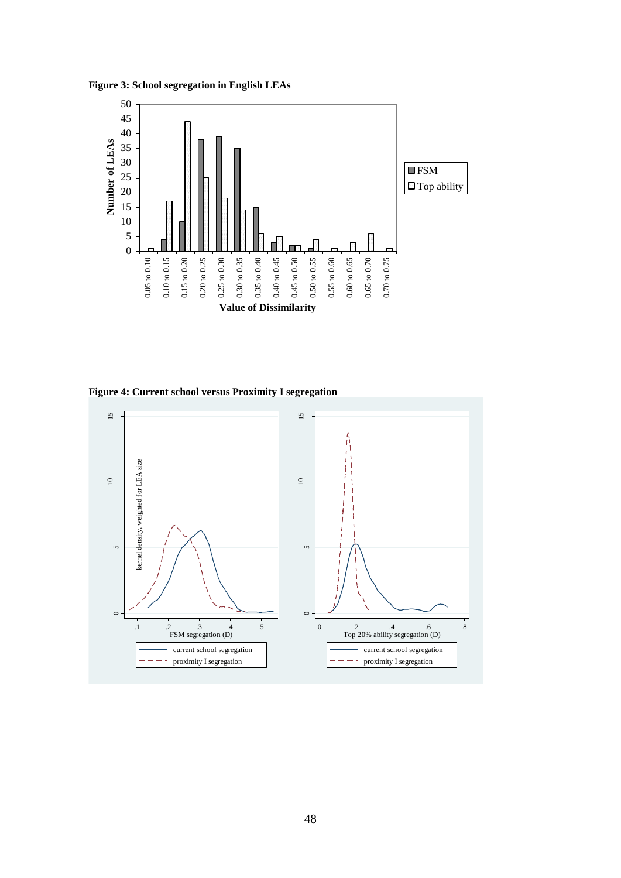**Figure 3: School segregation in English LEAs**



**Figure 4: Current school versus Proximity I segregation**